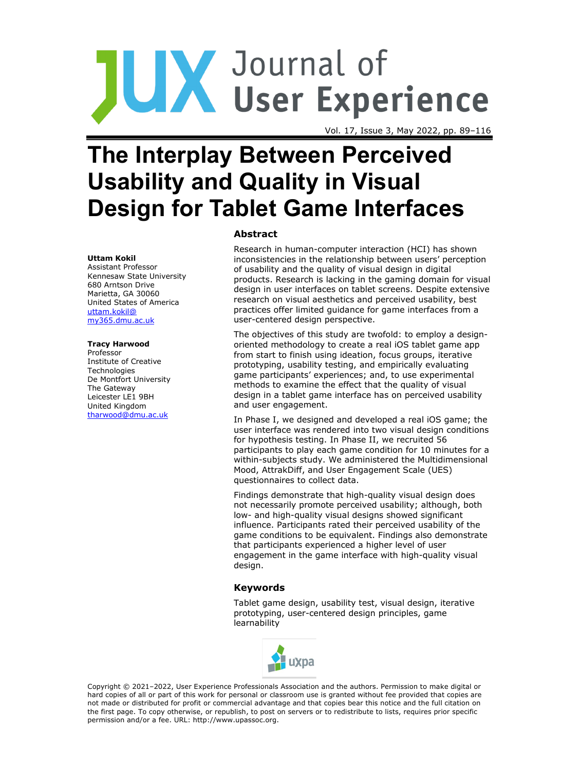# JUX Journal of<br>UX User Experience

Vol. 17, Issue 3, May 2022, pp. 89–116

# **The Interplay Between Perceived Usability and Quality in Visual Design for Tablet Game Interfaces**

#### **Uttam Kokil**

Assistant Professor Kennesaw State University 680 Arntson Drive Marietta, GA 30060 United States of America [uttam.kokil@](mailto:uttam.kokil@my365.dmu.ac.uk) [my365.dmu.ac.uk](mailto:uttam.kokil@my365.dmu.ac.uk)

#### **Tracy Harwood**

Professor Institute of Creative Technologies De Montfort University The Gateway Leicester LE1 9BH United Kingdom [tharwood@dmu.ac.uk](mailto:tharwood@dmu.ac.uk)

#### **Abstract**

Research in human-computer interaction (HCI) has shown inconsistencies in the relationship between users' perception of usability and the quality of visual design in digital products. Research is lacking in the gaming domain for visual design in user interfaces on tablet screens. Despite extensive research on visual aesthetics and perceived usability, best practices offer limited guidance for game interfaces from a user-centered design perspective.

The objectives of this study are twofold: to employ a designoriented methodology to create a real iOS tablet game app from start to finish using ideation, focus groups, iterative prototyping, usability testing, and empirically evaluating game participants' experiences; and, to use experimental methods to examine the effect that the quality of visual design in a tablet game interface has on perceived usability and user engagement.

In Phase I, we designed and developed a real iOS game; the user interface was rendered into two visual design conditions for hypothesis testing. In Phase II, we recruited 56 participants to play each game condition for 10 minutes for a within-subjects study. We administered the Multidimensional Mood, AttrakDiff, and User Engagement Scale (UES) questionnaires to collect data.

Findings demonstrate that high-quality visual design does not necessarily promote perceived usability; although, both low- and high-quality visual designs showed significant influence. Participants rated their perceived usability of the game conditions to be equivalent. Findings also demonstrate that participants experienced a higher level of user engagement in the game interface with high-quality visual design.

#### **Keywords**

Tablet game design, usability test, visual design, iterative prototyping, user-centered design principles, game learnability



Copyright © 2021–2022, User Experience Professionals Association and the authors. Permission to make digital or hard copies of all or part of this work for personal or classroom use is granted without fee provided that copies are not made or distributed for profit or commercial advantage and that copies bear this notice and the full citation on the first page. To copy otherwise, or republish, to post on servers or to redistribute to lists, requires prior specific permission and/or a fee. URL: http://www.upassoc.org.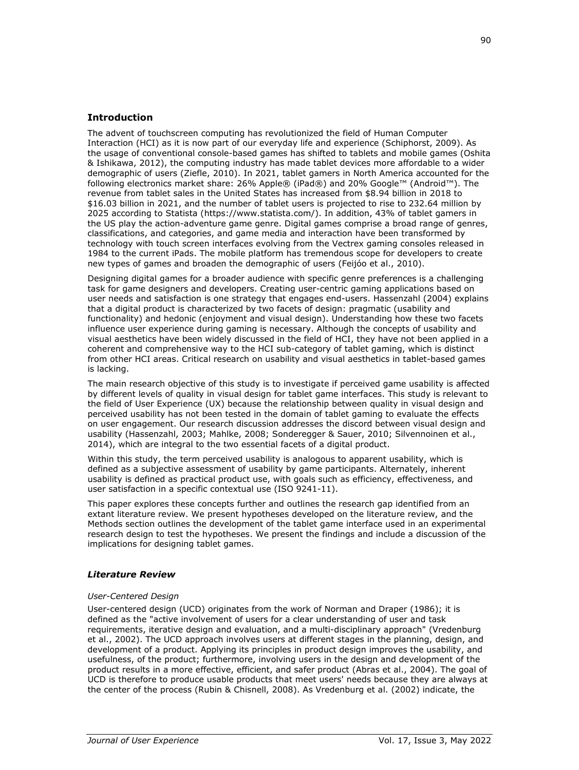# **Introduction**

The advent of touchscreen computing has revolutionized the field of Human Computer Interaction (HCI) as it is now part of our everyday life and experience (Schiphorst, 2009). As the usage of conventional console-based games has shifted to tablets and mobile games (Oshita & Ishikawa, 2012), the computing industry has made tablet devices more affordable to a wider demographic of users (Ziefle, 2010). In 2021, tablet gamers in North America accounted for the following electronics market share: 26% Apple® (iPad®) and 20% Google™ (Android™). The revenue from tablet sales in the United States has increased from \$8.94 billion in 2018 to \$16.03 billion in 2021, and the number of tablet users is projected to rise to 232.64 million by 2025 according to Statista (https://www.statista.com/). In addition, 43% of tablet gamers in the US play the action-adventure game genre. Digital games comprise a broad range of genres, classifications, and categories, and game media and interaction have been transformed by technology with touch screen interfaces evolving from the Vectrex gaming consoles released in 1984 to the current iPads. The mobile platform has tremendous scope for developers to create new types of games and broaden the demographic of users (Feijóo et al., 2010).

Designing digital games for a broader audience with specific genre preferences is a challenging task for game designers and developers. Creating user-centric gaming applications based on user needs and satisfaction is one strategy that engages end-users. Hassenzahl (2004) explains that a digital product is characterized by two facets of design: pragmatic (usability and functionality) and hedonic (enjoyment and visual design). Understanding how these two facets influence user experience during gaming is necessary. Although the concepts of usability and visual aesthetics have been widely discussed in the field of HCI, they have not been applied in a coherent and comprehensive way to the HCI sub-category of tablet gaming, which is distinct from other HCI areas. Critical research on usability and visual aesthetics in tablet-based games is lacking.

The main research objective of this study is to investigate if perceived game usability is affected by different levels of quality in visual design for tablet game interfaces. This study is relevant to the field of User Experience (UX) because the relationship between quality in visual design and perceived usability has not been tested in the domain of tablet gaming to evaluate the effects on user engagement. Our research discussion addresses the discord between visual design and usability (Hassenzahl, 2003; Mahlke, 2008; Sonderegger & Sauer, 2010; Silvennoinen et al., 2014), which are integral to the two essential facets of a digital product.

Within this study, the term perceived usability is analogous to apparent usability, which is defined as a subjective assessment of usability by game participants. Alternately, inherent usability is defined as practical product use, with goals such as efficiency, effectiveness, and user satisfaction in a specific contextual use (ISO 9241-11).

This paper explores these concepts further and outlines the research gap identified from an extant literature review. We present hypotheses developed on the literature review, and the Methods section outlines the development of the tablet game interface used in an experimental research design to test the hypotheses. We present the findings and include a discussion of the implications for designing tablet games.

#### *Literature Review*

#### *User-Centered Design*

User-centered design (UCD) originates from the work of Norman and Draper (1986); it is defined as the "active involvement of users for a clear understanding of user and task requirements, iterative design and evaluation, and a multi-disciplinary approach" (Vredenburg et al., 2002). The UCD approach involves users at different stages in the planning, design, and development of a product. Applying its principles in product design improves the usability, and usefulness, of the product; furthermore, involving users in the design and development of the product results in a more effective, efficient, and safer product (Abras et al., 2004). The goal of UCD is therefore to produce usable products that meet users' needs because they are always at the center of the process (Rubin & Chisnell, 2008). As Vredenburg et al. (2002) indicate, the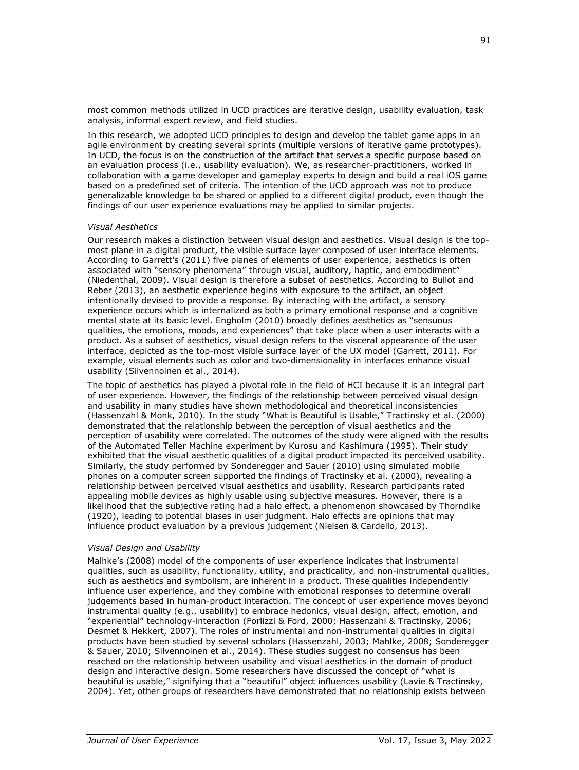most common methods utilized in UCD practices are iterative design, usability evaluation, task analysis, informal expert review, and field studies.

In this research, we adopted UCD principles to design and develop the tablet game apps in an agile environment by creating several sprints (multiple versions of iterative game prototypes). In UCD, the focus is on the construction of the artifact that serves a specific purpose based on an evaluation process (i.e., usability evaluation). We, as researcher-practitioners, worked in collaboration with a game developer and gameplay experts to design and build a real iOS game based on a predefined set of criteria. The intention of the UCD approach was not to produce generalizable knowledge to be shared or applied to a different digital product, even though the findings of our user experience evaluations may be applied to similar projects.

#### *Visual Aesthetics*

Our research makes a distinction between visual design and aesthetics. Visual design is the topmost plane in a digital product, the visible surface layer composed of user interface elements. According to Garrett's (2011) five planes of elements of user experience, aesthetics is often associated with "sensory phenomena" through visual, auditory, haptic, and embodiment" (Niedenthal, 2009). Visual design is therefore a subset of aesthetics. According to Bullot and Reber (2013), an aesthetic experience begins with exposure to the artifact, an object intentionally devised to provide a response. By interacting with the artifact, a sensory experience occurs which is internalized as both a primary emotional response and a cognitive mental state at its basic level. Engholm (2010) broadly defines aesthetics as "sensuous qualities, the emotions, moods, and experiences" that take place when a user interacts with a product. As a subset of aesthetics, visual design refers to the visceral appearance of the user interface, depicted as the top-most visible surface layer of the UX model (Garrett, 2011). For example, visual elements such as color and two-dimensionality in interfaces enhance visual usability (Silvennoinen et al., 2014).

The topic of aesthetics has played a pivotal role in the field of HCI because it is an integral part of user experience. However, the findings of the relationship between perceived visual design and usability in many studies have shown methodological and theoretical inconsistencies (Hassenzahl & Monk, 2010). In the study "What is Beautiful is Usable," Tractinsky et al. (2000) demonstrated that the relationship between the perception of visual aesthetics and the perception of usability were correlated. The outcomes of the study were aligned with the results of the Automated Teller Machine experiment by Kurosu and Kashimura (1995). Their study exhibited that the visual aesthetic qualities of a digital product impacted its perceived usability. Similarly, the study performed by Sonderegger and Sauer (2010) using simulated mobile phones on a computer screen supported the findings of Tractinsky et al. (2000), revealing a relationship between perceived visual aesthetics and usability. Research participants rated appealing mobile devices as highly usable using subjective measures. However, there is a likelihood that the subjective rating had a halo effect, a phenomenon showcased by Thorndike (1920), leading to potential biases in user judgment. Halo effects are opinions that may influence product evaluation by a previous judgement (Nielsen & Cardello, 2013).

#### *Visual Design and Usability*

Malhke's (2008) model of the components of user experience indicates that instrumental qualities, such as usability, functionality, utility, and practicality, and non-instrumental qualities, such as aesthetics and symbolism, are inherent in a product. These qualities independently influence user experience, and they combine with emotional responses to determine overall judgements based in human-product interaction. The concept of user experience moves beyond instrumental quality (e.g., usability) to embrace hedonics, visual design, affect, emotion, and "experiential" technology-interaction (Forlizzi & Ford, 2000; Hassenzahl & Tractinsky, 2006; Desmet & Hekkert, 2007). The roles of instrumental and non-instrumental qualities in digital products have been studied by several scholars (Hassenzahl, 2003; Mahlke, 2008; Sonderegger & Sauer, 2010; Silvennoinen et al., 2014). These studies suggest no consensus has been reached on the relationship between usability and visual aesthetics in the domain of product design and interactive design. Some researchers have discussed the concept of "what is beautiful is usable," signifying that a "beautiful" object influences usability (Lavie & Tractinsky, 2004). Yet, other groups of researchers have demonstrated that no relationship exists between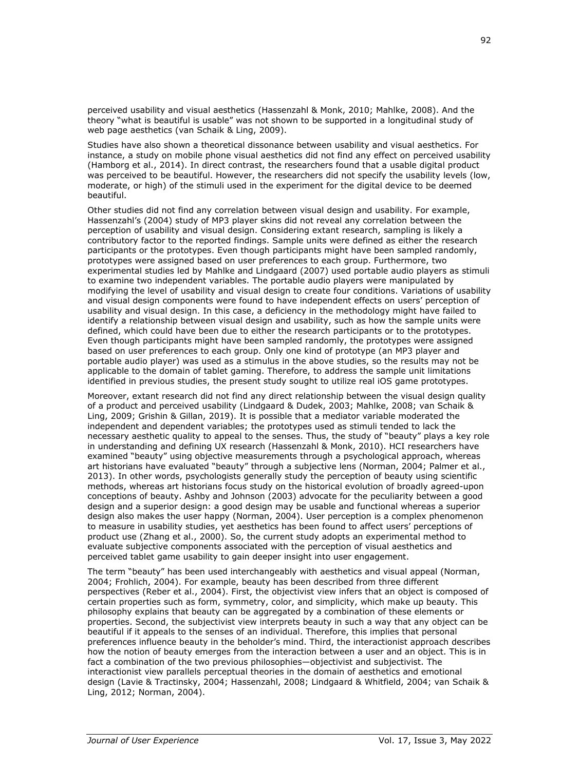perceived usability and visual aesthetics (Hassenzahl & Monk, 2010; Mahlke, 2008). And the theory "what is beautiful is usable" was not shown to be supported in a longitudinal study of web page aesthetics (van Schaik & Ling, 2009).

Studies have also shown a theoretical dissonance between usability and visual aesthetics. For instance, a study on mobile phone visual aesthetics did not find any effect on perceived usability (Hamborg et al., 2014). In direct contrast, the researchers found that a usable digital product was perceived to be beautiful. However, the researchers did not specify the usability levels (low, moderate, or high) of the stimuli used in the experiment for the digital device to be deemed beautiful.

Other studies did not find any correlation between visual design and usability. For example, Hassenzahl's (2004) study of MP3 player skins did not reveal any correlation between the perception of usability and visual design. Considering extant research, sampling is likely a contributory factor to the reported findings. Sample units were defined as either the research participants or the prototypes. Even though participants might have been sampled randomly, prototypes were assigned based on user preferences to each group. Furthermore, two experimental studies led by Mahlke and Lindgaard (2007) used portable audio players as stimuli to examine two independent variables. The portable audio players were manipulated by modifying the level of usability and visual design to create four conditions. Variations of usability and visual design components were found to have independent effects on users' perception of usability and visual design. In this case, a deficiency in the methodology might have failed to identify a relationship between visual design and usability, such as how the sample units were defined, which could have been due to either the research participants or to the prototypes. Even though participants might have been sampled randomly, the prototypes were assigned based on user preferences to each group. Only one kind of prototype (an MP3 player and portable audio player) was used as a stimulus in the above studies, so the results may not be applicable to the domain of tablet gaming. Therefore, to address the sample unit limitations identified in previous studies, the present study sought to utilize real iOS game prototypes.

Moreover, extant research did not find any direct relationship between the visual design quality of a product and perceived usability (Lindgaard & Dudek, 2003; Mahlke, 2008; van Schaik & Ling, 2009; Grishin & Gillan, 2019). It is possible that a mediator variable moderated the independent and dependent variables; the prototypes used as stimuli tended to lack the necessary aesthetic quality to appeal to the senses. Thus, the study of "beauty" plays a key role in understanding and defining UX research (Hassenzahl & Monk, 2010). HCI researchers have examined "beauty" using objective measurements through a psychological approach, whereas art historians have evaluated "beauty" through a subjective lens (Norman, 2004; Palmer et al., 2013). In other words, psychologists generally study the perception of beauty using scientific methods, whereas art historians focus study on the historical evolution of broadly agreed-upon conceptions of beauty. Ashby and Johnson (2003) advocate for the peculiarity between a good design and a superior design: a good design may be usable and functional whereas a superior design also makes the user happy (Norman, 2004). User perception is a complex phenomenon to measure in usability studies, yet aesthetics has been found to affect users' perceptions of product use (Zhang et al., 2000). So, the current study adopts an experimental method to evaluate subjective components associated with the perception of visual aesthetics and perceived tablet game usability to gain deeper insight into user engagement.

The term "beauty" has been used interchangeably with aesthetics and visual appeal (Norman, 2004; Frohlich, 2004). For example, beauty has been described from three different perspectives (Reber et al., 2004). First, the objectivist view infers that an object is composed of certain properties such as form, symmetry, color, and simplicity, which make up beauty. This philosophy explains that beauty can be aggregated by a combination of these elements or properties. Second, the subjectivist view interprets beauty in such a way that any object can be beautiful if it appeals to the senses of an individual. Therefore, this implies that personal preferences influence beauty in the beholder's mind. Third, the interactionist approach describes how the notion of beauty emerges from the interaction between a user and an object. This is in fact a combination of the two previous philosophies—objectivist and subjectivist. The interactionist view parallels perceptual theories in the domain of aesthetics and emotional design (Lavie & Tractinsky, 2004; Hassenzahl, 2008; Lindgaard & Whitfield, 2004; van Schaik & Ling, 2012; Norman, 2004).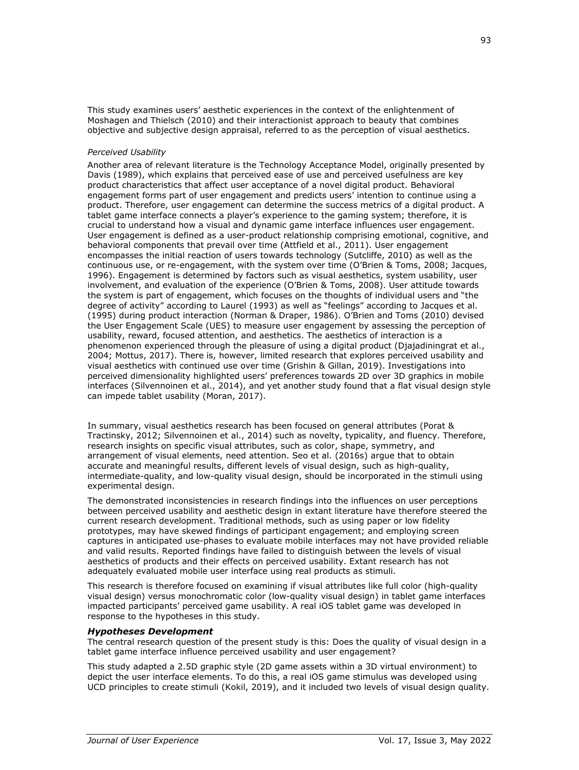This study examines users' aesthetic experiences in the context of the enlightenment of Moshagen and Thielsch (2010) and their interactionist approach to beauty that combines objective and subjective design appraisal, referred to as the perception of visual aesthetics.

#### *Perceived Usability*

Another area of relevant literature is the Technology Acceptance Model, originally presented by Davis (1989), which explains that perceived ease of use and perceived usefulness are key product characteristics that affect user acceptance of a novel digital product. Behavioral engagement forms part of user engagement and predicts users' intention to continue using a product. Therefore, user engagement can determine the success metrics of a digital product. A tablet game interface connects a player's experience to the gaming system; therefore, it is crucial to understand how a visual and dynamic game interface influences user engagement. User engagement is defined as a user-product relationship comprising emotional, cognitive, and behavioral components that prevail over time (Attfield et al., 2011). User engagement encompasses the initial reaction of users towards technology (Sutcliffe, 2010) as well as the continuous use, or re-engagement, with the system over time (O'Brien & Toms, 2008; Jacques, 1996). Engagement is determined by factors such as visual aesthetics, system usability, user involvement, and evaluation of the experience (O'Brien & Toms, 2008). User attitude towards the system is part of engagement, which focuses on the thoughts of individual users and "the degree of activity" according to Laurel (1993) as well as "feelings" according to Jacques et al. (1995) during product interaction (Norman & Draper, 1986). O'Brien and Toms (2010) devised the User Engagement Scale (UES) to measure user engagement by assessing the perception of usability, reward, focused attention, and aesthetics. The aesthetics of interaction is a phenomenon experienced through the pleasure of using a digital product (Djajadiningrat et al., 2004; Mottus, 2017). There is, however, limited research that explores perceived usability and visual aesthetics with continued use over time (Grishin & Gillan, 2019). Investigations into perceived dimensionality highlighted users' preferences towards 2D over 3D graphics in mobile interfaces (Silvennoinen et al., 2014), and yet another study found that a flat visual design style can impede tablet usability (Moran, 2017).

In summary, visual aesthetics research has been focused on general attributes (Porat & Tractinsky, 2012; Silvennoinen et al., 2014) such as novelty, typicality, and fluency. Therefore, research insights on specific visual attributes, such as color, shape, symmetry, and arrangement of visual elements, need attention. Seo et al. (2016s) argue that to obtain accurate and meaningful results, different levels of visual design, such as high-quality, intermediate-quality, and low-quality visual design, should be incorporated in the stimuli using experimental design.

The demonstrated inconsistencies in research findings into the influences on user perceptions between perceived usability and aesthetic design in extant literature have therefore steered the current research development. Traditional methods, such as using paper or low fidelity prototypes, may have skewed findings of participant engagement; and employing screen captures in anticipated use-phases to evaluate mobile interfaces may not have provided reliable and valid results. Reported findings have failed to distinguish between the levels of visual aesthetics of products and their effects on perceived usability. Extant research has not adequately evaluated mobile user interface using real products as stimuli.

This research is therefore focused on examining if visual attributes like full color (high-quality visual design) versus monochromatic color (low-quality visual design) in tablet game interfaces impacted participants' perceived game usability. A real iOS tablet game was developed in response to the hypotheses in this study.

#### *Hypotheses Development*

The central research question of the present study is this: Does the quality of visual design in a tablet game interface influence perceived usability and user engagement?

This study adapted a 2.5D graphic style (2D game assets within a 3D virtual environment) to depict the user interface elements. To do this, a real iOS game stimulus was developed using UCD principles to create stimuli (Kokil, 2019), and it included two levels of visual design quality.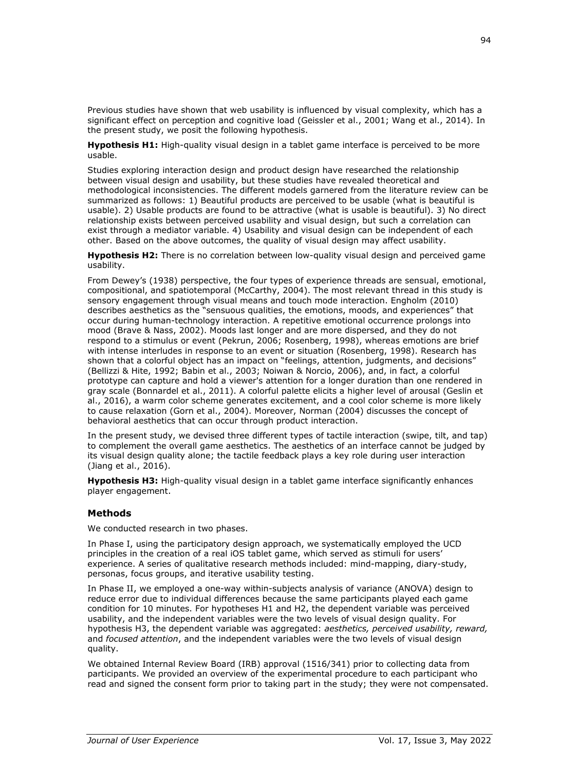Previous studies have shown that web usability is influenced by visual complexity, which has a significant effect on perception and cognitive load (Geissler et al., 2001; Wang et al., 2014). In the present study, we posit the following hypothesis.

Hypothesis H1: High-quality visual design in a tablet game interface is perceived to be more usable.

Studies exploring interaction design and product design have researched the relationship between visual design and usability, but these studies have revealed theoretical and methodological inconsistencies. The different models garnered from the literature review can be summarized as follows: 1) Beautiful products are perceived to be usable (what is beautiful is usable). 2) Usable products are found to be attractive (what is usable is beautiful). 3) No direct relationship exists between perceived usability and visual design, but such a correlation can exist through a mediator variable. 4) Usability and visual design can be independent of each other. Based on the above outcomes, the quality of visual design may affect usability.

**Hypothesis H2:** There is no correlation between low-quality visual design and perceived game usability.

From Dewey's (1938) perspective, the four types of experience threads are sensual, emotional, compositional, and spatiotemporal (McCarthy, 2004). The most relevant thread in this study is sensory engagement through visual means and touch mode interaction. Engholm (2010) describes aesthetics as the "sensuous qualities, the emotions, moods, and experiences" that occur during human-technology interaction. A repetitive emotional occurrence prolongs into mood (Brave & Nass, 2002). Moods last longer and are more dispersed, and they do not respond to a stimulus or event (Pekrun, 2006; Rosenberg, 1998), whereas emotions are brief with intense interludes in response to an event or situation (Rosenberg, 1998). Research has shown that a colorful object has an impact on "feelings, attention, judgments, and decisions" (Bellizzi & Hite, 1992; Babin et al., 2003; Noiwan & Norcio, 2006), and, in fact, a colorful prototype can capture and hold a viewer's attention for a longer duration than one rendered in gray scale (Bonnardel et al., 2011). A colorful palette elicits a higher level of arousal (Geslin et al., 2016), a warm color scheme generates excitement, and a cool color scheme is more likely to cause relaxation (Gorn et al., 2004). Moreover, Norman (2004) discusses the concept of behavioral aesthetics that can occur through product interaction.

In the present study, we devised three different types of tactile interaction (swipe, tilt, and tap) to complement the overall game aesthetics. The aesthetics of an interface cannot be judged by its visual design quality alone; the tactile feedback plays a key role during user interaction (Jiang et al., 2016).

**Hypothesis H3:** High-quality visual design in a tablet game interface significantly enhances player engagement.

#### **Methods**

We conducted research in two phases.

In Phase I, using the participatory design approach, we systematically employed the UCD principles in the creation of a real iOS tablet game, which served as stimuli for users' experience. A series of qualitative research methods included: mind-mapping, diary-study, personas, focus groups, and iterative usability testing.

In Phase II, we employed a one-way within-subjects analysis of variance (ANOVA) design to reduce error due to individual differences because the same participants played each game condition for 10 minutes. For hypotheses H1 and H2, the dependent variable was perceived usability, and the independent variables were the two levels of visual design quality. For hypothesis H3, the dependent variable was aggregated: *aesthetics, perceived usability, reward,* and *focused attention*, and the independent variables were the two levels of visual design quality.

We obtained Internal Review Board (IRB) approval (1516/341) prior to collecting data from participants. We provided an overview of the experimental procedure to each participant who read and signed the consent form prior to taking part in the study; they were not compensated.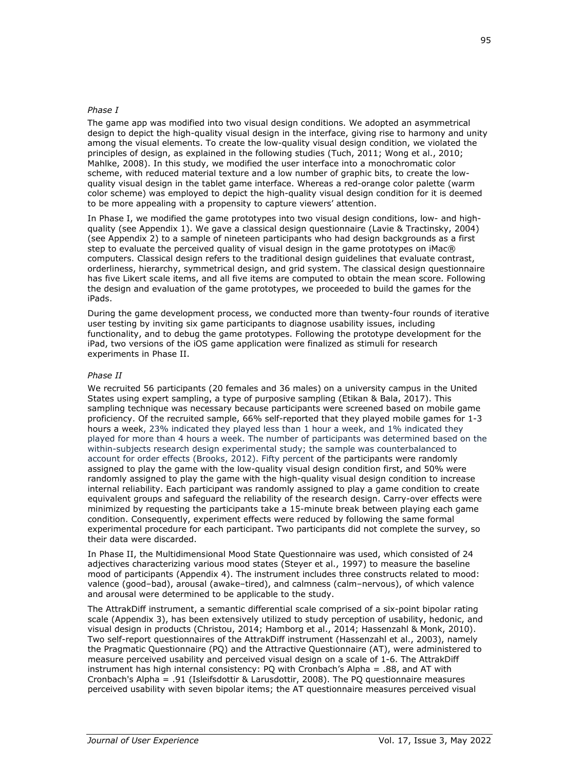#### *Phase I*

The game app was modified into two visual design conditions. We adopted an asymmetrical design to depict the high-quality visual design in the interface, giving rise to harmony and unity among the visual elements. To create the low-quality visual design condition, we violated the principles of design, as explained in the following studies (Tuch, 2011; Wong et al., 2010; Mahlke, 2008). In this study, we modified the user interface into a monochromatic color scheme, with reduced material texture and a low number of graphic bits, to create the lowquality visual design in the tablet game interface. Whereas a red-orange color palette (warm color scheme) was employed to depict the high-quality visual design condition for it is deemed to be more appealing with a propensity to capture viewers' attention.

In Phase I, we modified the game prototypes into two visual design conditions, low- and highquality (see Appendix 1). We gave a classical design questionnaire (Lavie & Tractinsky, 2004) (see Appendix 2) to a sample of nineteen participants who had design backgrounds as a first step to evaluate the perceived quality of visual design in the game prototypes on iMac® computers. Classical design refers to the traditional design guidelines that evaluate contrast, orderliness, hierarchy, symmetrical design, and grid system. The classical design questionnaire has five Likert scale items, and all five items are computed to obtain the mean score. Following the design and evaluation of the game prototypes, we proceeded to build the games for the iPads.

During the game development process, we conducted more than twenty-four rounds of iterative user testing by inviting six game participants to diagnose usability issues, including functionality, and to debug the game prototypes. Following the prototype development for the iPad, two versions of the iOS game application were finalized as stimuli for research experiments in Phase II.

#### *Phase II*

We recruited 56 participants (20 females and 36 males) on a university campus in the United States using expert sampling, a type of purposive sampling (Etikan & Bala, 2017). This sampling technique was necessary because participants were screened based on mobile game proficiency. Of the recruited sample, 66% self-reported that they played mobile games for 1-3 hours a week, 23% indicated they played less than 1 hour a week, and 1% indicated they played for more than 4 hours a week. The number of participants was determined based on the within-subjects research design experimental study; the sample was counterbalanced to account for order effects (Brooks, 2012). Fifty percent of the participants were randomly assigned to play the game with the low-quality visual design condition first, and 50% were randomly assigned to play the game with the high-quality visual design condition to increase internal reliability. Each participant was randomly assigned to play a game condition to create equivalent groups and safeguard the reliability of the research design. Carry-over effects were minimized by requesting the participants take a 15-minute break between playing each game condition. Consequently, experiment effects were reduced by following the same formal experimental procedure for each participant. Two participants did not complete the survey, so their data were discarded.

In Phase II, the Multidimensional Mood State Questionnaire was used, which consisted of 24 adjectives characterizing various mood states (Steyer et al., 1997) to measure the baseline mood of participants (Appendix 4). The instrument includes three constructs related to mood: valence (good–bad), arousal (awake–tired), and calmness (calm–nervous), of which valence and arousal were determined to be applicable to the study.

The AttrakDiff instrument, a semantic differential scale comprised of a six-point bipolar rating scale (Appendix 3), has been extensively utilized to study perception of usability, hedonic, and visual design in products (Christou, 2014; Hamborg et al., 2014; Hassenzahl & Monk, 2010). Two self-report questionnaires of the AttrakDiff instrument (Hassenzahl et al., 2003), namely the Pragmatic Questionnaire (PQ) and the Attractive Questionnaire (AT), were administered to measure perceived usability and perceived visual design on a scale of 1-6. The AttrakDiff instrument has high internal consistency: PQ with Cronbach's Alpha = .88, and AT with Cronbach's Alpha = .91 (Isleifsdottir & Larusdottir, 2008). The PQ questionnaire measures perceived usability with seven bipolar items; the AT questionnaire measures perceived visual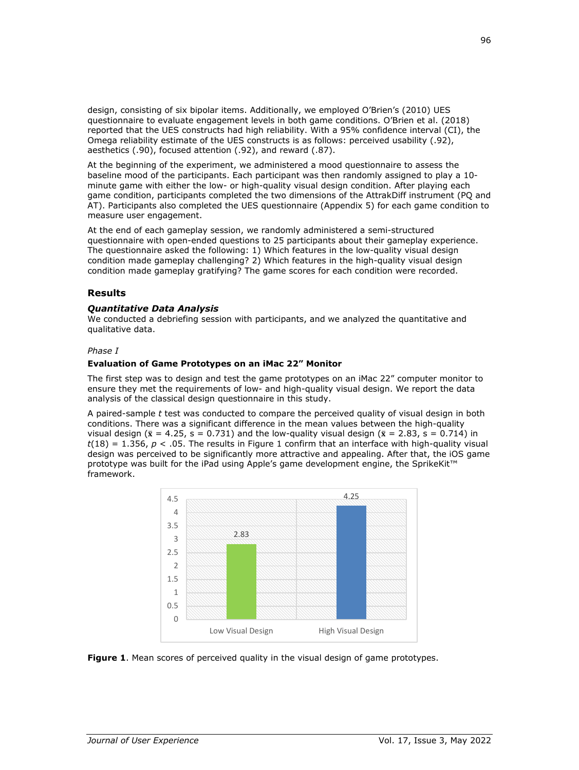design, consisting of six bipolar items. Additionally, we employed O'Brien's (2010) UES questionnaire to evaluate engagement levels in both game conditions. O'Brien et al. (2018) reported that the UES constructs had high reliability. With a 95% confidence interval (CI), the Omega reliability estimate of the UES constructs is as follows: perceived usability (.92), aesthetics (.90), focused attention (.92), and reward (.87).

At the beginning of the experiment, we administered a mood questionnaire to assess the baseline mood of the participants. Each participant was then randomly assigned to play a 10 minute game with either the low- or high-quality visual design condition. After playing each game condition, participants completed the two dimensions of the AttrakDiff instrument (PQ and AT). Participants also completed the UES questionnaire (Appendix 5) for each game condition to measure user engagement.

At the end of each gameplay session, we randomly administered a semi-structured questionnaire with open-ended questions to 25 participants about their gameplay experience. The questionnaire asked the following: 1) Which features in the low-quality visual design condition made gameplay challenging? 2) Which features in the high-quality visual design condition made gameplay gratifying? The game scores for each condition were recorded.

#### **Results**

#### *Quantitative Data Analysis*

We conducted a debriefing session with participants, and we analyzed the quantitative and qualitative data.

#### *Phase I*

#### **Evaluation of Game Prototypes on an iMac 22" Monitor**

The first step was to design and test the game prototypes on an iMac 22" computer monitor to ensure they met the requirements of low- and high-quality visual design. We report the data analysis of the classical design questionnaire in this study.

A paired-sample *t* test was conducted to compare the perceived quality of visual design in both conditions. There was a significant difference in the mean values between the high-quality visual design ( $\bar{x}$  = 4.25, s = 0.731) and the low-quality visual design ( $\bar{x}$  = 2.83, s = 0.714) in  $t(18) = 1.356$ ,  $p < .05$ . The results in Figure 1 confirm that an interface with high-quality visual design was perceived to be significantly more attractive and appealing. After that, the iOS game prototype was built for the iPad using Apple's game development engine, the SprikeKit™ framework.



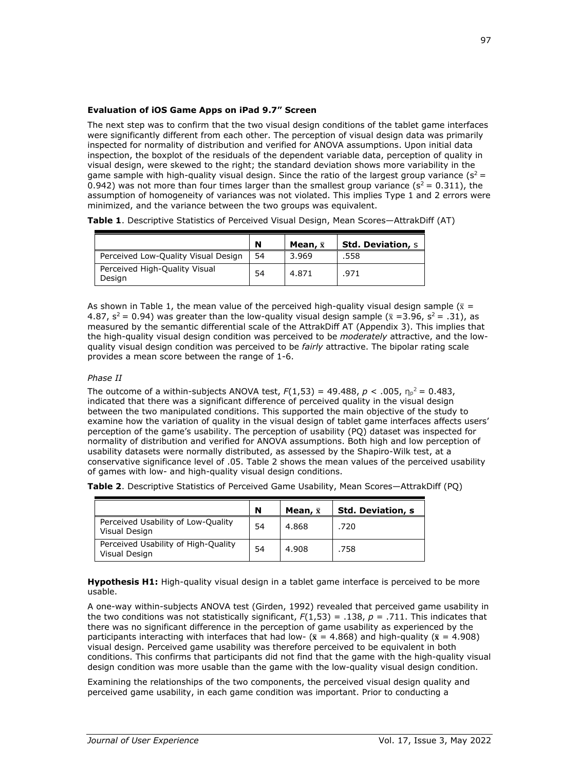#### **Evaluation of iOS Game Apps on iPad 9.7" Screen**

The next step was to confirm that the two visual design conditions of the tablet game interfaces were significantly different from each other. The perception of visual design data was primarily inspected for normality of distribution and verified for ANOVA assumptions. Upon initial data inspection, the boxplot of the residuals of the dependent variable data, perception of quality in visual design, were skewed to the right; the standard deviation shows more variability in the game sample with high-quality visual design. Since the ratio of the largest group variance  $(s^2 =$ 0.942) was not more than four times larger than the smallest group variance ( $s^2 = 0.311$ ), the assumption of homogeneity of variances was not violated. This implies Type 1 and 2 errors were minimized, and the variance between the two groups was equivalent.

**Table 1**. Descriptive Statistics of Perceived Visual Design, Mean Scores—AttrakDiff (AT)

|                                         | N  | Mean, $\bar{x}$ | <b>Std. Deviation, s</b> |
|-----------------------------------------|----|-----------------|--------------------------|
| Perceived Low-Quality Visual Design     | 54 | 3.969           | .558                     |
| Perceived High-Quality Visual<br>Design | 54 | 4.871           | .971                     |

As shown in Table 1, the mean value of the perceived high-quality visual design sample ( $\bar{x}$  = 4.87,  $s^2$  = 0.94) was greater than the low-quality visual design sample ( $\bar{x}$  =3.96,  $s^2$  = .31), as measured by the semantic differential scale of the AttrakDiff AT (Appendix 3). This implies that the high-quality visual design condition was perceived to be *moderately* attractive, and the lowquality visual design condition was perceived to be *fairly* attractive. The bipolar rating scale provides a mean score between the range of 1-6.

#### *Phase II*

The outcome of a within-subjects ANOVA test,  $F(1,53) = 49.488$ ,  $p < .005$ ,  $n_p^2 = 0.483$ , indicated that there was a significant difference of perceived quality in the visual design between the two manipulated conditions. This supported the main objective of the study to examine how the variation of quality in the visual design of tablet game interfaces affects users' perception of the game's usability. The perception of usability (PQ) dataset was inspected for normality of distribution and verified for ANOVA assumptions. Both high and low perception of usability datasets were normally distributed, as assessed by the Shapiro-Wilk test, at a conservative significance level of .05. Table 2 shows the mean values of the perceived usability of games with low- and high-quality visual design conditions.

|                                                      | N  | Mean, $\bar{x}$ | <b>Std. Deviation, s</b> |
|------------------------------------------------------|----|-----------------|--------------------------|
| Perceived Usability of Low-Quality<br>Visual Design  | 54 | 4.868           | .720                     |
| Perceived Usability of High-Quality<br>Visual Design | 54 | 4.908           | .758                     |

**Table 2**. Descriptive Statistics of Perceived Game Usability, Mean Scores—AttrakDiff (PQ)

Hypothesis H1: High-quality visual design in a tablet game interface is perceived to be more usable.

A one-way within-subjects ANOVA test (Girden, 1992) revealed that perceived game usability in the two conditions was not statistically significant,  $F(1,53) = .138$ ,  $p = .711$ . This indicates that there was no significant difference in the perception of game usability as experienced by the participants interacting with interfaces that had low- ( $\bar{x}$  = 4.868) and high-quality ( $\bar{x}$  = 4.908) visual design. Perceived game usability was therefore perceived to be equivalent in both conditions. This confirms that participants did not find that the game with the high-quality visual design condition was more usable than the game with the low-quality visual design condition.

Examining the relationships of the two components, the perceived visual design quality and perceived game usability, in each game condition was important. Prior to conducting a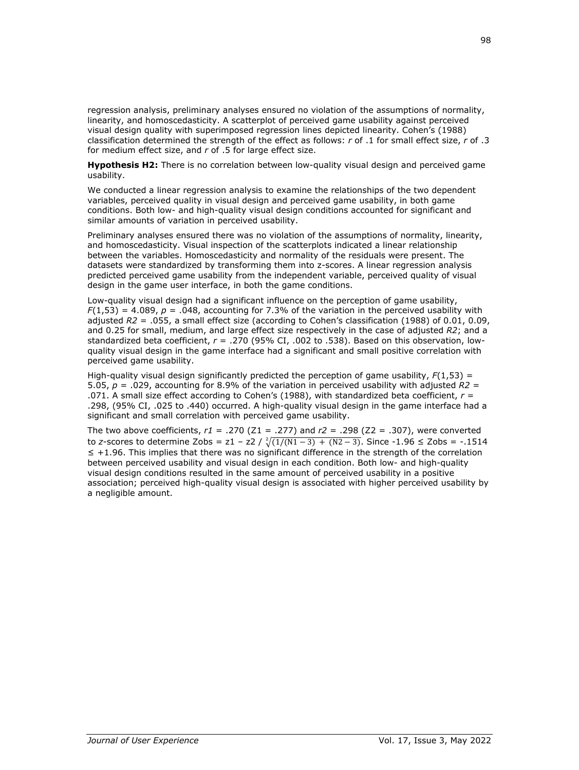regression analysis, preliminary analyses ensured no violation of the assumptions of normality, linearity, and homoscedasticity. A scatterplot of perceived game usability against perceived visual design quality with superimposed regression lines depicted linearity. Cohen's (1988) classification determined the strength of the effect as follows: *r* of .1 for small effect size, *r* of .3 for medium effect size, and *r* of .5 for large effect size.

**Hypothesis H2:** There is no correlation between low-quality visual design and perceived game usability.

We conducted a linear regression analysis to examine the relationships of the two dependent variables, perceived quality in visual design and perceived game usability, in both game conditions. Both low- and high-quality visual design conditions accounted for significant and similar amounts of variation in perceived usability.

Preliminary analyses ensured there was no violation of the assumptions of normality, linearity, and homoscedasticity. Visual inspection of the scatterplots indicated a linear relationship between the variables. Homoscedasticity and normality of the residuals were present. The datasets were standardized by transforming them into z-scores. A linear regression analysis predicted perceived game usability from the independent variable, perceived quality of visual design in the game user interface, in both the game conditions.

Low-quality visual design had a significant influence on the perception of game usability,  $F(1,53) = 4.089$ ,  $p = .048$ , accounting for 7.3% of the variation in the perceived usability with adjusted *R2* = .055, a small effect size (according to Cohen's classification (1988) of 0.01, 0.09, and 0.25 for small, medium, and large effect size respectively in the case of adjusted *R2*; and a standardized beta coefficient, *r* = .270 (95% CI, .002 to .538). Based on this observation, lowquality visual design in the game interface had a significant and small positive correlation with perceived game usability.

High-quality visual design significantly predicted the perception of game usability, *F*(1,53) = 5.05, *p* = .029, accounting for 8.9% of the variation in perceived usability with adjusted *R2* = .071. A small size effect according to Cohen's (1988), with standardized beta coefficient, *r* = .298, (95% CI, .025 to .440) occurred. A high-quality visual design in the game interface had a significant and small correlation with perceived game usability.

The two above coefficients, *r1* = .270 (Z1 = .277) and *r2* = .298 (Z2 = .307), were converted to *z*-scores to determine Zobs = z1 – z2 /  $\sqrt[2]{(1/(N1-3) + (N2-3))}$ . Since -1.96 ≤ Zobs = -.1514 ≤ +1.96. This implies that there was no significant difference in the strength of the correlation between perceived usability and visual design in each condition. Both low- and high-quality visual design conditions resulted in the same amount of perceived usability in a positive association; perceived high-quality visual design is associated with higher perceived usability by a negligible amount.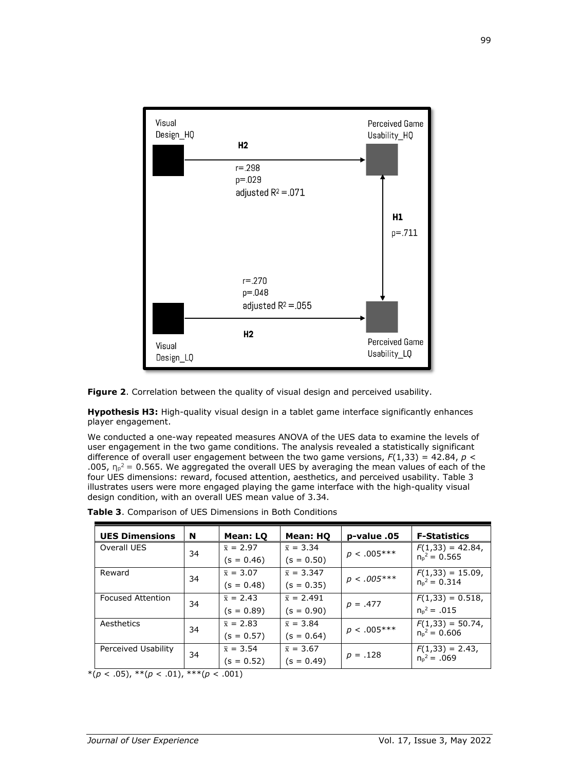

**Figure 2**. Correlation between the quality of visual design and perceived usability.

**Hypothesis H3:** High-quality visual design in a tablet game interface significantly enhances player engagement.

We conducted a one-way repeated measures ANOVA of the UES data to examine the levels of user engagement in the two game conditions. The analysis revealed a statistically significant difference of overall user engagement between the two game versions,  $F(1,33) = 42.84$ ,  $p <$ .005,  $n_p^2$  = 0.565. We aggregated the overall UES by averaging the mean values of each of the four UES dimensions: reward, focused attention, aesthetics, and perceived usability. Table 3 illustrates users were more engaged playing the game interface with the high-quality visual design condition, with an overall UES mean value of 3.34.

| <b>UES Dimensions</b>    | <b>N</b> | Mean: LQ         | Mean: HQ          | p-value .05   | <b>F-Statistics</b> |
|--------------------------|----------|------------------|-------------------|---------------|---------------------|
| Overall UES              | 34       | $\bar{x} = 2.97$ | $\bar{x} = 3.34$  | $p < .005***$ | $F(1,33) = 42.84$ , |
|                          |          | $(s = 0.46)$     | $(s = 0.50)$      |               | $n_n^2 = 0.565$     |
| Reward                   | 34       | $\bar{x} = 3.07$ | $\bar{x} = 3.347$ | $p < .005***$ | $F(1,33) = 15.09$ , |
|                          |          | $(s = 0.48)$     | $(s = 0.35)$      |               | $n_p^2 = 0.314$     |
| <b>Focused Attention</b> | 34       | $\bar{x} = 2.43$ | $\bar{x} = 2.491$ | $p = .477$    | $F(1,33) = 0.518$   |
|                          |          | $(s = 0.89)$     | (s = 0.90)        |               | $n_n^2 = .015$      |
| Aesthetics               | 34       | $\bar{x} = 2.83$ | $\bar{x} = 3.84$  | $p < .005***$ | $F(1,33) = 50.74$ , |
|                          |          | $(s = 0.57)$     | (s = 0.64)        |               | $n_p^2 = 0.606$     |
| Perceived Usability      | 34       | $\bar{x} = 3.54$ | $\bar{x} = 3.67$  |               | $F(1,33) = 2.43$ ,  |
|                          |          | $(s = 0.52)$     | (s = 0.49)        | $p = .128$    | $n_p^2 = .069$      |

**Table 3**. Comparison of UES Dimensions in Both Conditions

 $*(p < .05), **(p < .01), **(p < .001)$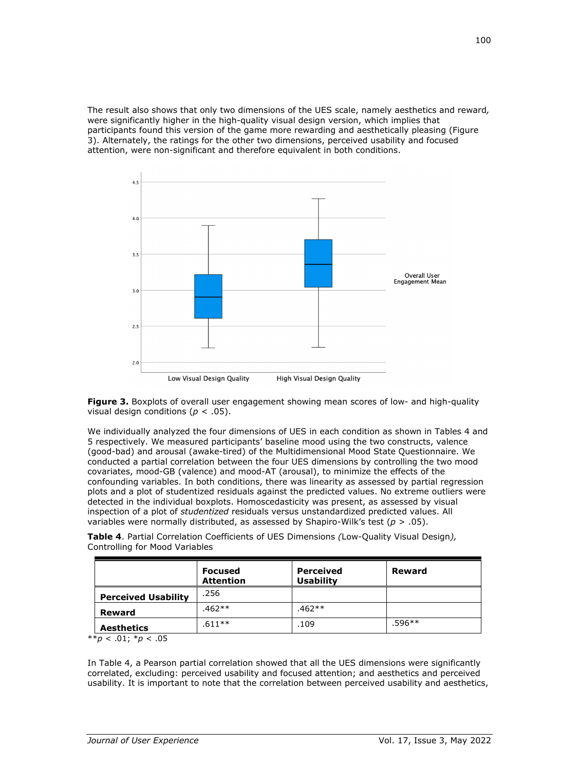The result also shows that only two dimensions of the UES scale, namely aesthetics and reward*,*  were significantly higher in the high-quality visual design version, which implies that participants found this version of the game more rewarding and aesthetically pleasing (Figure 3). Alternately, the ratings for the other two dimensions, perceived usability and focused attention, were non-significant and therefore equivalent in both conditions.



**Figure 3.** Boxplots of overall user engagement showing mean scores of low- and high-quality visual design conditions (*p* < .05).

We individually analyzed the four dimensions of UES in each condition as shown in Tables 4 and 5 respectively. We measured participants' baseline mood using the two constructs, valence (good-bad) and arousal (awake-tired) of the Multidimensional Mood State Questionnaire. We conducted a partial correlation between the four UES dimensions by controlling the two mood covariates, mood-GB (valence) and mood-AT (arousal), to minimize the effects of the confounding variables. In both conditions, there was linearity as assessed by partial regression plots and a plot of studentized residuals against the predicted values. No extreme outliers were detected in the individual boxplots. Homoscedasticity was present, as assessed by visual inspection of a plot of *studentized* residuals versus unstandardized predicted values. All variables were normally distributed, as assessed by Shapiro-Wilk's test (*p* > .05).

**Table 4**. Partial Correlation Coefficients of UES Dimensions *(*Low-Quality Visual Design*),* Controlling for Mood Variables

|                            | <b>Focused</b><br><b>Attention</b> | <b>Perceived</b><br><b>Usability</b> | Reward   |
|----------------------------|------------------------------------|--------------------------------------|----------|
| <b>Perceived Usability</b> | .256                               |                                      |          |
| <b>Reward</b>              | $.462**$                           | $.462**$                             |          |
| <b>Aesthetics</b>          | $.611**$                           | .109                                 | $.596**$ |

\*\**p* < .01; \**p* < .05

In Table 4, a Pearson partial correlation showed that all the UES dimensions were significantly correlated, excluding: perceived usability and focused attention; and aesthetics and perceived usability. It is important to note that the correlation between perceived usability and aesthetics,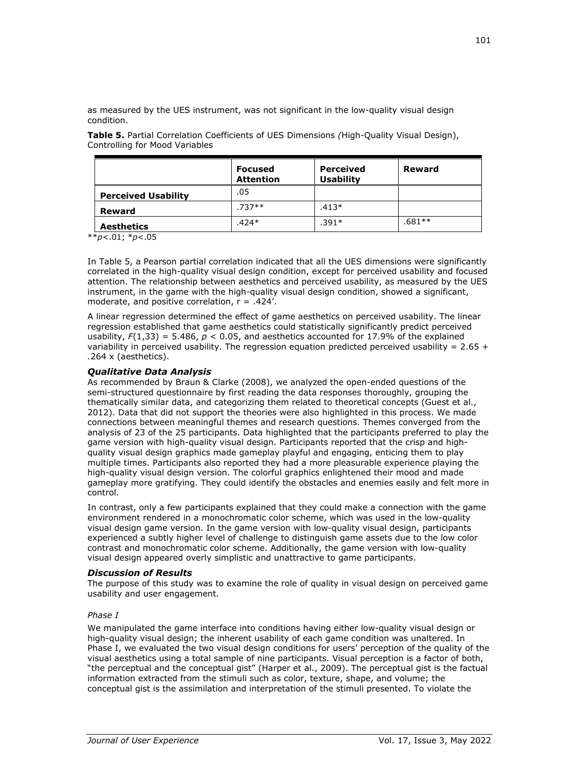as measured by the UES instrument, was not significant in the low-quality visual design condition.

|                            | <b>Focused</b><br><b>Attention</b> | <b>Perceived</b><br><b>Usability</b> | Reward   |
|----------------------------|------------------------------------|--------------------------------------|----------|
| <b>Perceived Usability</b> | .05                                |                                      |          |
| Reward                     | $.737**$                           | $.413*$                              |          |
| <b>Aesthetics</b>          | $.424*$                            | $.391*$                              | $.681**$ |

**Table 5.** Partial Correlation Coefficients of UES Dimensions *(*High-Quality Visual Design), Controlling for Mood Variables

\*\**p*<.01; \**p*<.05

In Table 5, a Pearson partial correlation indicated that all the UES dimensions were significantly correlated in the high-quality visual design condition, except for perceived usability and focused attention. The relationship between aesthetics and perceived usability, as measured by the UES instrument, in the game with the high-quality visual design condition, showed a significant, moderate, and positive correlation,  $r = .424'$ .

A linear regression determined the effect of game aesthetics on perceived usability. The linear regression established that game aesthetics could statistically significantly predict perceived usability,  $F(1,33) = 5.486$ ,  $p < 0.05$ , and aesthetics accounted for 17.9% of the explained variability in perceived usability. The regression equation predicted perceived usability =  $2.65 +$ *.*264 x (aesthetics).

#### *Qualitative Data Analysis*

As recommended by Braun & Clarke (2008), we analyzed the open-ended questions of the semi-structured questionnaire by first reading the data responses thoroughly, grouping the thematically similar data, and categorizing them related to theoretical concepts (Guest et al., 2012). Data that did not support the theories were also highlighted in this process. We made connections between meaningful themes and research questions. Themes converged from the analysis of 23 of the 25 participants. Data highlighted that the participants preferred to play the game version with high-quality visual design. Participants reported that the crisp and highquality visual design graphics made gameplay playful and engaging, enticing them to play multiple times. Participants also reported they had a more pleasurable experience playing the high-quality visual design version. The colorful graphics enlightened their mood and made gameplay more gratifying. They could identify the obstacles and enemies easily and felt more in control.

In contrast, only a few participants explained that they could make a connection with the game environment rendered in a monochromatic color scheme, which was used in the low-quality visual design game version. In the game version with low-quality visual design, participants experienced a subtly higher level of challenge to distinguish game assets due to the low color contrast and monochromatic color scheme. Additionally, the game version with low-quality visual design appeared overly simplistic and unattractive to game participants.

#### *Discussion of Results*

The purpose of this study was to examine the role of quality in visual design on perceived game usability and user engagement.

#### *Phase I*

We manipulated the game interface into conditions having either low-quality visual design or high-quality visual design; the inherent usability of each game condition was unaltered. In Phase I, we evaluated the two visual design conditions for users' perception of the quality of the visual aesthetics using a total sample of nine participants. Visual perception is a factor of both, "the perceptual and the conceptual gist" (Harper et al., 2009). The perceptual gist is the factual information extracted from the stimuli such as color, texture, shape, and volume; the conceptual gist is the assimilation and interpretation of the stimuli presented. To violate the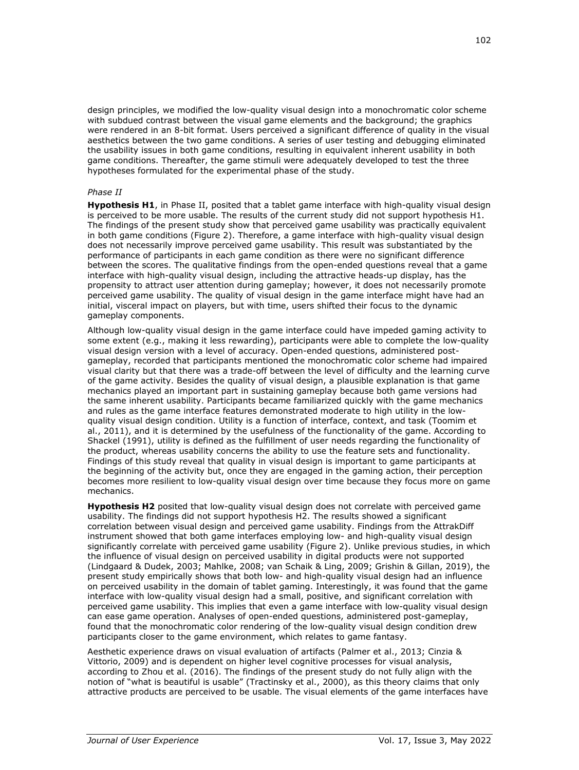design principles, we modified the low-quality visual design into a monochromatic color scheme with subdued contrast between the visual game elements and the background; the graphics were rendered in an 8-bit format. Users perceived a significant difference of quality in the visual aesthetics between the two game conditions. A series of user testing and debugging eliminated the usability issues in both game conditions, resulting in equivalent inherent usability in both game conditions. Thereafter, the game stimuli were adequately developed to test the three hypotheses formulated for the experimental phase of the study.

#### *Phase II*

**Hypothesis H1**, in Phase II, posited that a tablet game interface with high-quality visual design is perceived to be more usable. The results of the current study did not support hypothesis H1. The findings of the present study show that perceived game usability was practically equivalent in both game conditions (Figure 2). Therefore, a game interface with high-quality visual design does not necessarily improve perceived game usability. This result was substantiated by the performance of participants in each game condition as there were no significant difference between the scores. The qualitative findings from the open-ended questions reveal that a game interface with high-quality visual design, including the attractive heads-up display, has the propensity to attract user attention during gameplay; however, it does not necessarily promote perceived game usability. The quality of visual design in the game interface might have had an initial, visceral impact on players, but with time, users shifted their focus to the dynamic gameplay components.

Although low-quality visual design in the game interface could have impeded gaming activity to some extent (e.g., making it less rewarding), participants were able to complete the low-quality visual design version with a level of accuracy. Open-ended questions, administered postgameplay, recorded that participants mentioned the monochromatic color scheme had impaired visual clarity but that there was a trade-off between the level of difficulty and the learning curve of the game activity. Besides the quality of visual design, a plausible explanation is that game mechanics played an important part in sustaining gameplay because both game versions had the same inherent usability. Participants became familiarized quickly with the game mechanics and rules as the game interface features demonstrated moderate to high utility in the lowquality visual design condition. Utility is a function of interface, context, and task (Toomim et al., 2011), and it is determined by the usefulness of the functionality of the game. According to Shackel (1991), utility is defined as the fulfillment of user needs regarding the functionality of the product, whereas usability concerns the ability to use the feature sets and functionality. Findings of this study reveal that quality in visual design is important to game participants at the beginning of the activity but, once they are engaged in the gaming action, their perception becomes more resilient to low-quality visual design over time because they focus more on game mechanics.

**Hypothesis H2** posited that low-quality visual design does not correlate with perceived game usability. The findings did not support hypothesis H2. The results showed a significant correlation between visual design and perceived game usability. Findings from the AttrakDiff instrument showed that both game interfaces employing low- and high-quality visual design significantly correlate with perceived game usability (Figure 2). Unlike previous studies, in which the influence of visual design on perceived usability in digital products were not supported (Lindgaard & Dudek, 2003; Mahlke, 2008; van Schaik & Ling, 2009; Grishin & Gillan, 2019), the present study empirically shows that both low- and high-quality visual design had an influence on perceived usability in the domain of tablet gaming. Interestingly, it was found that the game interface with low-quality visual design had a small, positive, and significant correlation with perceived game usability. This implies that even a game interface with low-quality visual design can ease game operation. Analyses of open-ended questions, administered post-gameplay, found that the monochromatic color rendering of the low-quality visual design condition drew participants closer to the game environment, which relates to game fantasy.

Aesthetic experience draws on visual evaluation of artifacts (Palmer et al., 2013; Cinzia & Vittorio, 2009) and is dependent on higher level cognitive processes for visual analysis, according to Zhou et al. (2016). The findings of the present study do not fully align with the notion of "what is beautiful is usable" (Tractinsky et al., 2000), as this theory claims that only attractive products are perceived to be usable. The visual elements of the game interfaces have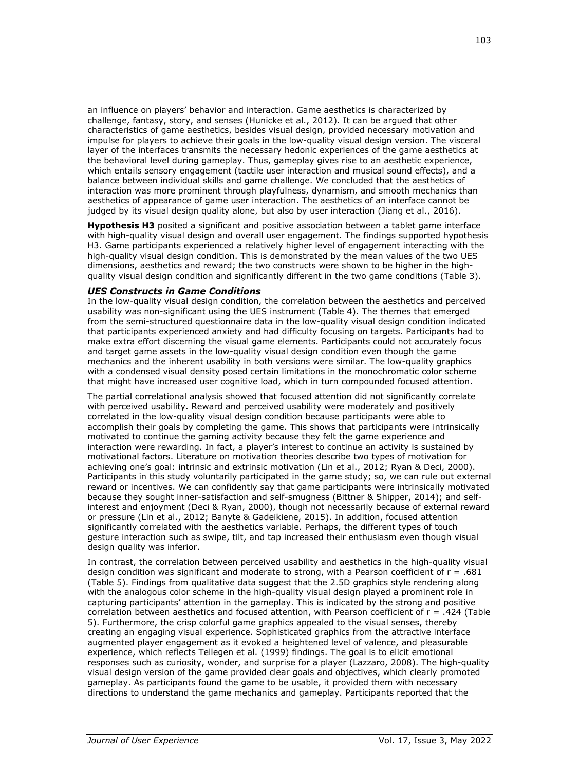an influence on players' behavior and interaction. Game aesthetics is characterized by challenge, fantasy, story, and senses (Hunicke et al., 2012). It can be argued that other characteristics of game aesthetics, besides visual design, provided necessary motivation and impulse for players to achieve their goals in the low-quality visual design version. The visceral layer of the interfaces transmits the necessary hedonic experiences of the game aesthetics at the behavioral level during gameplay. Thus, gameplay gives rise to an aesthetic experience, which entails sensory engagement (tactile user interaction and musical sound effects), and a balance between individual skills and game challenge. We concluded that the aesthetics of interaction was more prominent through playfulness, dynamism, and smooth mechanics than aesthetics of appearance of game user interaction. The aesthetics of an interface cannot be judged by its visual design quality alone, but also by user interaction (Jiang et al., 2016).

**Hypothesis H3** posited a significant and positive association between a tablet game interface with high-quality visual design and overall user engagement. The findings supported hypothesis H3. Game participants experienced a relatively higher level of engagement interacting with the high-quality visual design condition. This is demonstrated by the mean values of the two UES dimensions, aesthetics and reward; the two constructs were shown to be higher in the highquality visual design condition and significantly different in the two game conditions (Table 3).

#### *UES Constructs in Game Conditions*

In the low-quality visual design condition, the correlation between the aesthetics and perceived usability was non-significant using the UES instrument (Table 4). The themes that emerged from the semi-structured questionnaire data in the low-quality visual design condition indicated that participants experienced anxiety and had difficulty focusing on targets. Participants had to make extra effort discerning the visual game elements. Participants could not accurately focus and target game assets in the low-quality visual design condition even though the game mechanics and the inherent usability in both versions were similar. The low-quality graphics with a condensed visual density posed certain limitations in the monochromatic color scheme that might have increased user cognitive load, which in turn compounded focused attention.

The partial correlational analysis showed that focused attention did not significantly correlate with perceived usability. Reward and perceived usability were moderately and positively correlated in the low-quality visual design condition because participants were able to accomplish their goals by completing the game. This shows that participants were intrinsically motivated to continue the gaming activity because they felt the game experience and interaction were rewarding. In fact, a player's interest to continue an activity is sustained by motivational factors. Literature on motivation theories describe two types of motivation for achieving one's goal: intrinsic and extrinsic motivation (Lin et al., 2012; Ryan & Deci, 2000). Participants in this study voluntarily participated in the game study; so, we can rule out external reward or incentives. We can confidently say that game participants were intrinsically motivated because they sought inner-satisfaction and self-smugness (Bittner & Shipper, 2014); and selfinterest and enjoyment (Deci & Ryan, 2000), though not necessarily because of external reward or pressure (Lin et al., 2012; Banyte & Gadeikiene, 2015). In addition, focused attention significantly correlated with the aesthetics variable. Perhaps, the different types of touch gesture interaction such as swipe, tilt, and tap increased their enthusiasm even though visual design quality was inferior.

In contrast, the correlation between perceived usability and aesthetics in the high-quality visual design condition was significant and moderate to strong, with a Pearson coefficient of  $r = .681$ (Table 5). Findings from qualitative data suggest that the 2.5D graphics style rendering along with the analogous color scheme in the high-quality visual design played a prominent role in capturing participants' attention in the gameplay. This is indicated by the strong and positive correlation between aesthetics and focused attention, with Pearson coefficient of r = .424 (Table 5). Furthermore, the crisp colorful game graphics appealed to the visual senses, thereby creating an engaging visual experience. Sophisticated graphics from the attractive interface augmented player engagement as it evoked a heightened level of valence, and pleasurable experience, which reflects Tellegen et al. (1999) findings. The goal is to elicit emotional responses such as curiosity, wonder, and surprise for a player (Lazzaro, 2008). The high-quality visual design version of the game provided clear goals and objectives, which clearly promoted gameplay. As participants found the game to be usable, it provided them with necessary directions to understand the game mechanics and gameplay. Participants reported that the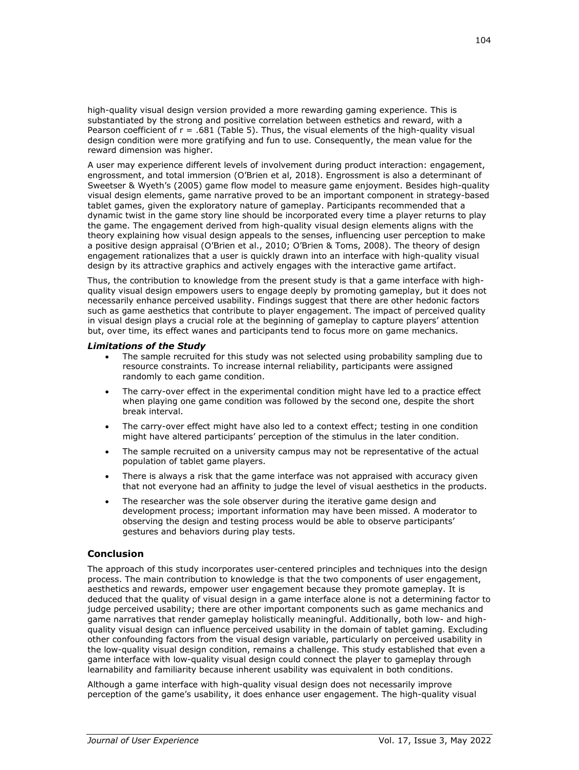high-quality visual design version provided a more rewarding gaming experience. This is substantiated by the strong and positive correlation between esthetics and reward, with a Pearson coefficient of  $r = .681$  (Table 5). Thus, the visual elements of the high-quality visual design condition were more gratifying and fun to use. Consequently, the mean value for the reward dimension was higher.

A user may experience different levels of involvement during product interaction: engagement, engrossment, and total immersion (O'Brien et al, 2018). Engrossment is also a determinant of Sweetser & Wyeth's (2005) game flow model to measure game enjoyment. Besides high-quality visual design elements, game narrative proved to be an important component in strategy-based tablet games, given the exploratory nature of gameplay. Participants recommended that a dynamic twist in the game story line should be incorporated every time a player returns to play the game. The engagement derived from high-quality visual design elements aligns with the theory explaining how visual design appeals to the senses, influencing user perception to make a positive design appraisal (O'Brien et al., 2010; O'Brien & Toms, 2008). The theory of design engagement rationalizes that a user is quickly drawn into an interface with high-quality visual design by its attractive graphics and actively engages with the interactive game artifact.

Thus, the contribution to knowledge from the present study is that a game interface with highquality visual design empowers users to engage deeply by promoting gameplay, but it does not necessarily enhance perceived usability. Findings suggest that there are other hedonic factors such as game aesthetics that contribute to player engagement. The impact of perceived quality in visual design plays a crucial role at the beginning of gameplay to capture players' attention but, over time, its effect wanes and participants tend to focus more on game mechanics.

#### *Limitations of the Study*

- The sample recruited for this study was not selected using probability sampling due to resource constraints. To increase internal reliability, participants were assigned randomly to each game condition.
- The carry-over effect in the experimental condition might have led to a practice effect when playing one game condition was followed by the second one, despite the short break interval.
- The carry-over effect might have also led to a context effect; testing in one condition might have altered participants' perception of the stimulus in the later condition.
- The sample recruited on a university campus may not be representative of the actual population of tablet game players.
- There is always a risk that the game interface was not appraised with accuracy given that not everyone had an affinity to judge the level of visual aesthetics in the products.
- The researcher was the sole observer during the iterative game design and development process; important information may have been missed. A moderator to observing the design and testing process would be able to observe participants' gestures and behaviors during play tests.

#### **Conclusion**

The approach of this study incorporates user-centered principles and techniques into the design process. The main contribution to knowledge is that the two components of user engagement, aesthetics and rewards, empower user engagement because they promote gameplay. It is deduced that the quality of visual design in a game interface alone is not a determining factor to judge perceived usability; there are other important components such as game mechanics and game narratives that render gameplay holistically meaningful. Additionally, both low- and highquality visual design can influence perceived usability in the domain of tablet gaming. Excluding other confounding factors from the visual design variable, particularly on perceived usability in the low-quality visual design condition, remains a challenge. This study established that even a game interface with low-quality visual design could connect the player to gameplay through learnability and familiarity because inherent usability was equivalent in both conditions.

Although a game interface with high-quality visual design does not necessarily improve perception of the game's usability, it does enhance user engagement. The high-quality visual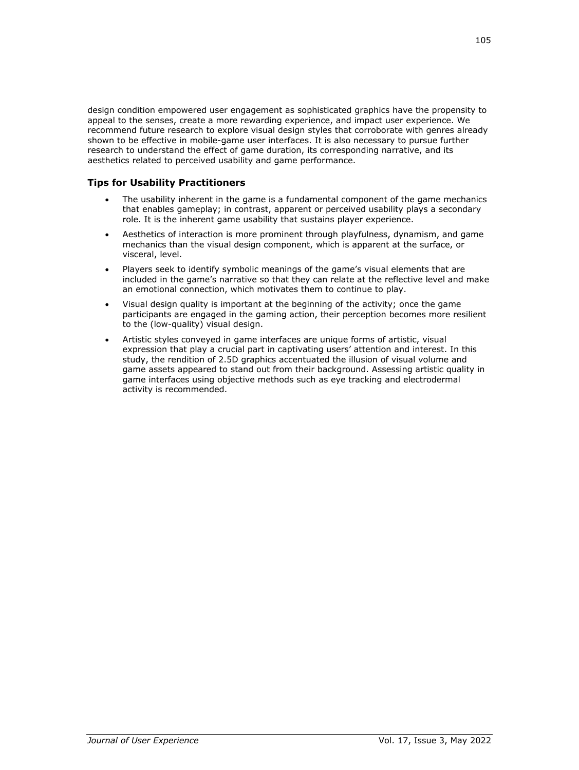design condition empowered user engagement as sophisticated graphics have the propensity to appeal to the senses, create a more rewarding experience, and impact user experience. We recommend future research to explore visual design styles that corroborate with genres already shown to be effective in mobile-game user interfaces. It is also necessary to pursue further research to understand the effect of game duration, its corresponding narrative, and its aesthetics related to perceived usability and game performance.

# **Tips for Usability Practitioners**

- The usability inherent in the game is a fundamental component of the game mechanics that enables gameplay; in contrast, apparent or perceived usability plays a secondary role. It is the inherent game usability that sustains player experience.
- Aesthetics of interaction is more prominent through playfulness, dynamism, and game mechanics than the visual design component, which is apparent at the surface, or visceral, level.
- Players seek to identify symbolic meanings of the game's visual elements that are included in the game's narrative so that they can relate at the reflective level and make an emotional connection, which motivates them to continue to play.
- Visual design quality is important at the beginning of the activity; once the game participants are engaged in the gaming action, their perception becomes more resilient to the (low-quality) visual design.
- Artistic styles conveyed in game interfaces are unique forms of artistic, visual expression that play a crucial part in captivating users' attention and interest. In this study, the rendition of 2.5D graphics accentuated the illusion of visual volume and game assets appeared to stand out from their background. Assessing artistic quality in game interfaces using objective methods such as eye tracking and electrodermal activity is recommended.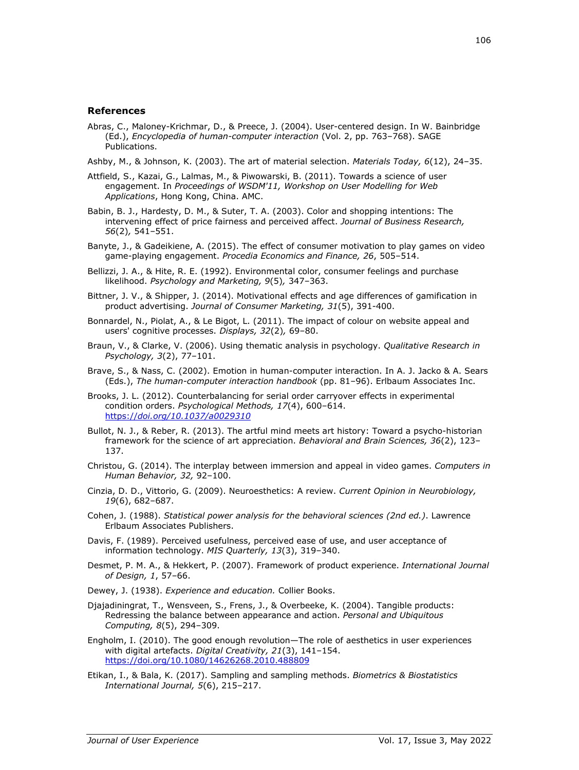#### **References**

Abras, C., Maloney-Krichmar, D., & Preece, J. (2004). User-centered design. In W. Bainbridge (Ed.), *Encyclopedia of human-computer interaction* (Vol. 2, pp. 763–768). SAGE Publications.

Ashby, M., & Johnson, K. (2003). The art of material selection. *Materials Today, 6*(12), 24–35.

- Attfield, S., Kazai, G., Lalmas, M., & Piwowarski, B. (2011). Towards a science of user engagement. In *Proceedings of WSDM'11, Workshop on User Modelling for Web Applications*, Hong Kong, China. AMC.
- Babin, B. J., Hardesty, D. M., & Suter, T. A. (2003). Color and shopping intentions: The intervening effect of price fairness and perceived affect. *Journal of Business Research, 56*(2)*,* 541–551.
- Banyte, J., & Gadeikiene, A. (2015). The effect of consumer motivation to play games on video game-playing engagement. *Procedia Economics and Finance, 26*, 505–514.
- Bellizzi, J. A., & Hite, R. E. (1992). Environmental color, consumer feelings and purchase likelihood. *Psychology and Marketing, 9*(5)*,* 347–363.
- [Bittner, J.](https://www.emerald.com/insight/search?q=Jenny%20V.%20Bittner) V., & [Shipper, J.](https://www.emerald.com/insight/search?q=Jeffrey%20Shipper) (2014). Motivational effects and age differences of gamification in product advertising. *[Journal of Consumer Marketing,](https://www.emerald.com/insight/publication/issn/0736-3761) 31*(5), 391-400.
- Bonnardel, N., Piolat, A., & Le Bigot, L. (2011). The impact of colour on website appeal and users' cognitive processes. *Displays, 32*(2)*,* 69–80.
- Braun, V., & Clarke, V. (2006). Using thematic analysis in psychology. *Qualitative Research in Psychology, 3*(2), 77–101.
- Brave, S., & Nass, C. (2002). Emotion in human-computer interaction. In A. J. Jacko & A. Sears (Eds.), *The human-computer interaction handbook* (pp. 81–96). Erlbaum Associates Inc.
- Brooks, J. L. (2012). Counterbalancing for serial order carryover effects in experimental condition orders. *Psychological Methods, 17*(4), 600–614. https://*[doi.org/10.1037/a0029310](https://doi.org/10.1037/a0029310)*
- Bullot, N. J., & Reber, R. (2013). The artful mind meets art history: Toward a psycho-historian framework for the science of art appreciation. *Behavioral and Brain Sciences, 36*(2), 123– 137.
- Christou, G. (2014). The interplay between immersion and appeal in video games. *Computers in Human Behavior, 32,* 92–100.
- Cinzia, D. D., Vittorio, G. (2009). Neuroesthetics: A review. *Current Opinion in Neurobiology, 19*(6), 682–687.
- Cohen, J. (1988). *Statistical power analysis for the behavioral sciences (2nd ed.)*. Lawrence Erlbaum Associates Publishers.
- Davis, F. (1989). Perceived usefulness, perceived ease of use, and user acceptance of information technology. *MIS Quarterly, 13*(3), 319–340.
- Desmet, P. M. A., & Hekkert, P. (2007). Framework of product experience. *International Journal of Design, 1*, 57–66.
- Dewey, J. (1938). *Experience and education.* Collier Books.
- Djajadiningrat, T., Wensveen, S., Frens, J., & Overbeeke, K. (2004). Tangible products: Redressing the balance between appearance and action. *Personal and Ubiquitous Computing, 8*(5), 294–309.
- Engholm, I. (2010). The good enough revolution—The role of aesthetics in user experiences with digital artefacts. *Digital Creativity, 21*(3), 141–154. <https://doi.org/10.1080/14626268.2010.488809>
- Etikan, I., & Bala, K. (2017). Sampling and sampling methods. *Biometrics & Biostatistics International Journal, 5*(6), 215–217.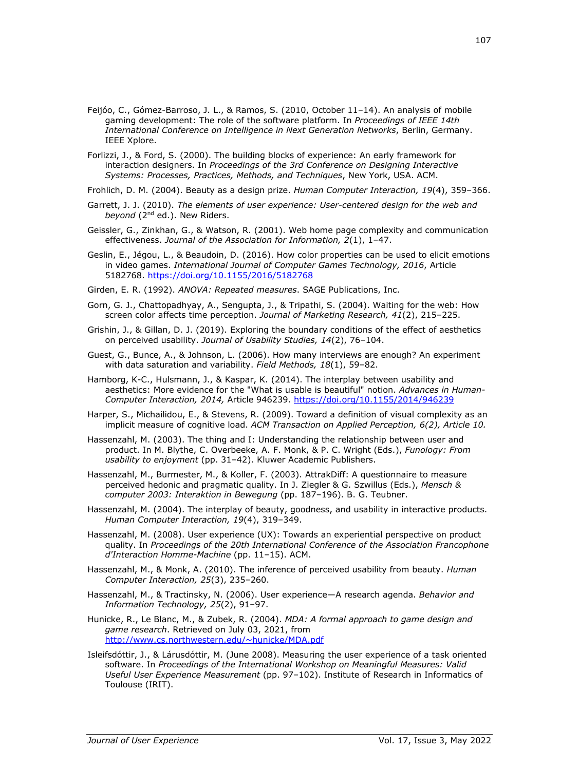- Feijóo, C., Gómez-Barroso, J. L., & Ramos, S. (2010, October 11–14). An analysis of mobile gaming development: The role of the software platform. In *Proceedings of IEEE 14th International Conference on Intelligence in Next Generation Networks*, Berlin, Germany. IEEE Xplore.
- Forlizzi, J., & Ford, S. (2000). The building blocks of experience: An early framework for interaction designers. In *Proceedings of the 3rd Conference on Designing Interactive Systems: Processes, Practices, Methods, and Techniques*, New York, USA. ACM.
- Frohlich, D. M. (2004). Beauty as a design prize. *Human Computer Interaction, 19*(4), 359–366.
- Garrett, J. J. (2010). *The elements of user experience: User-centered design for the web and beyond* (2nd ed.). New Riders.
- Geissler, G., Zinkhan, G., & Watson, R. (2001). Web home page complexity and communication effectiveness. *Journal of the Association for Information, 2*(1), 1–47.
- Geslin, E., Jégou, L., & Beaudoin, D. (2016). How color properties can be used to elicit emotions in video games. *International Journal of Computer Games Technology, 2016*, Article 5182768.<https://doi.org/10.1155/2016/5182768>
- Girden, E. R. (1992). *ANOVA: Repeated measures*. SAGE Publications, Inc.
- Gorn, G. J., Chattopadhyay, A., Sengupta, J., & Tripathi, S. (2004). Waiting for the web: How screen color affects time perception. *Journal of Marketing Research, 41*(2), 215–225.
- Grishin, J., & Gillan, D. J. (2019). Exploring the boundary conditions of the effect of aesthetics on perceived usability. *Journal of Usability Studies, 14*(2), 76–104.
- Guest, G., Bunce, A., & Johnson, L. (2006). How many interviews are enough? An experiment with data saturation and variability. *Field Methods, 18*(1), 59–82.
- Hamborg, K-C., Hulsmann, J., & Kaspar, K. (2014). The interplay between usability and aesthetics: More evidence for the "What is usable is beautiful" notion. *Advances in Human-Computer Interaction, 2014,* Article 946239.<https://doi.org/10.1155/2014/946239>
- Harper, S., Michailidou, E., & Stevens, R. (2009). Toward a definition of visual complexity as an implicit measure of cognitive load. *ACM Transaction on Applied Perception, 6(2), Article 10.*
- Hassenzahl, M. (2003). The thing and I: Understanding the relationship between user and product. In M. Blythe, C. Overbeeke, A. F. Monk, & P. C. Wright (Eds.), *Funology: From usability to enjoyment* (pp. 31–42). Kluwer Academic Publishers.
- Hassenzahl, M., Burmester, M., & Koller, F. (2003). AttrakDiff: A questionnaire to measure perceived hedonic and pragmatic quality. In J. Ziegler & G. Szwillus (Eds.), *Mensch & computer 2003: Interaktion in Bewegung* (pp. 187–196). B. G. Teubner.
- Hassenzahl, M. (2004). The interplay of beauty, goodness, and usability in interactive products. *Human Computer Interaction, 19*(4), 319–349.
- Hassenzahl, M. (2008). User experience (UX): Towards an experiential perspective on product quality. In *Proceedings of the 20th International Conference of the Association Francophone d'Interaction Homme-Machine* (pp. 11–15). ACM.
- Hassenzahl, M., & Monk, A. (2010). The inference of perceived usability from beauty. *Human Computer Interaction, 25*(3), 235–260.
- Hassenzahl, M., & Tractinsky, N. (2006). User experience—A research agenda. *Behavior and Information Technology, 25*(2), 91–97.
- Hunicke, R., Le Blanc, M., & Zubek, R. (2004). *MDA: A formal approach to game design and game research*. Retrieved on July 03, 2021, from [http://www.cs.northwestern.edu/~hunicke/MDA.pdf](http://www.cs.northwestern.edu/%7Ehunicke/MDA.pdf)
- Isleifsdóttir, J., & Lárusdóttir, M. (June 2008). Measuring the user experience of a task oriented software. In *Proceedings of the International Workshop on Meaningful Measures: Valid Useful User Experience Measurement* (pp. 97–102). Institute of Research in Informatics of Toulouse (IRIT).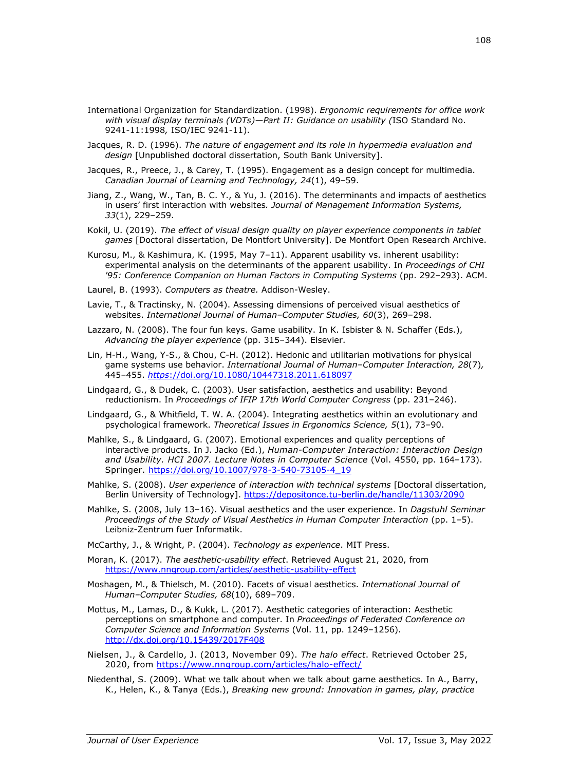- International Organization for Standardization. (1998). *Ergonomic requirements for office work with visual display terminals (VDTs)—Part II: Guidance on usability (*ISO Standard No. 9241-11:1998*,* ISO/IEC 9241-11).
- Jacques, R. D. (1996). *The nature of engagement and its role in hypermedia evaluation and design* [Unpublished doctoral dissertation, South Bank University].
- Jacques, R., Preece, J., & Carey, T. (1995). Engagement as a design concept for multimedia. *Canadian Journal of Learning and Technology, 24*(1), 49–59.
- Jiang, Z., Wang, W., Tan, B. C. Y., & Yu, J. (2016). The determinants and impacts of aesthetics in users' first interaction with websites*. Journal of Management Information Systems, 33*(1), 229–259.
- Kokil, U. (2019). *The effect of visual design quality on player experience components in tablet games* [Doctoral dissertation, De Montfort University]. De Montfort Open Research Archive.
- Kurosu, M., & Kashimura, K. (1995, May 7–11). Apparent usability vs. inherent usability: experimental analysis on the determinants of the apparent usability. In *Proceedings of CHI '95: Conference Companion on Human Factors in Computing Systems* (pp. 292–293). ACM.
- Laurel, B. (1993). *Computers as theatre.* Addison-Wesley.
- Lavie, T., & Tractinsky, N. (2004). Assessing dimensions of perceived visual aesthetics of websites. *International Journal of Human–Computer Studies, 60*(3), 269–298.
- Lazzaro, N. (2008). The four fun keys. Game usability. In K. Isbister & N. Schaffer (Eds.), *Advancing the player experience* (pp. 315–344). Elsevier.
- Lin, H-H., Wang, Y-S., & Chou, C-H. (2012). Hedonic and utilitarian motivations for physical game systems use behavior. *International Journal of Human–Computer Interaction, 28*(7)*,*  445–455. *https*[://doi.org/10.1080/10447318.2011.618097](https://doi.org/10.1080/10447318.2011.618097)
- Lindgaard, G., & Dudek, C. (2003). User satisfaction, aesthetics and usability: Beyond reductionism. In *Proceedings of IFIP 17th World Computer Congress* (pp. 231–246).
- Lindgaard, G., & Whitfield, T. W. A. (2004). Integrating aesthetics within an evolutionary and psychological framework. *Theoretical Issues in Ergonomics Science, 5*(1), 73–90.
- Mahlke, S., & Lindgaard, G. (2007). Emotional experiences and quality perceptions of interactive products. In J. Jacko (Ed.), *Human-Computer Interaction: Interaction Design and Usability. HCI 2007. Lecture Notes in Computer Science* (Vol. 4550, pp. 164–173). Springer. [https://doi.org/10.1007/978-3-540-73105-4\\_19](https://doi.org/10.1007/978-3-540-73105-4_19)
- Mahlke, S. (2008). *User experience of interaction with technical systems* [Doctoral dissertation, Berlin University of Technology].<https://depositonce.tu-berlin.de/handle/11303/2090>
- Mahlke, S. (2008, July 13–16). Visual aesthetics and the user experience. In *Dagstuhl Seminar Proceedings of the Study of Visual Aesthetics in Human Computer Interaction* (pp. 1–5). Leibniz-Zentrum fuer Informatik.

McCarthy, J., & Wright, P. (2004). *Technology as experience*. MIT Press.

- Moran, K. (2017). *The aesthetic-usability effect*. Retrieved August 21, 2020, from <https://www.nngroup.com/articles/aesthetic-usability-effect>
- Moshagen, M., & Thielsch, M. (2010). Facets of visual aesthetics. *International Journal of Human–Computer Studies, 68*(10), 689–709.
- Mottus, M., Lamas, D., & Kukk, L. (2017). Aesthetic categories of interaction: Aesthetic perceptions on smartphone and computer. In *Proceedings of Federated Conference on Computer Science and Information Systems* (Vol. 11, pp. 1249–1256). <http://dx.doi.org/10.15439/2017F408>
- Nielsen, J., & Cardello, J. (2013, November 09). *The halo effect*. Retrieved October 25, 2020, from<https://www.nngroup.com/articles/halo-effect/>
- Niedenthal, S. (2009). What we talk about when we talk about game aesthetics. In A., Barry, K., Helen, K., & Tanya (Eds.), *Breaking new ground: Innovation in games, play, practice*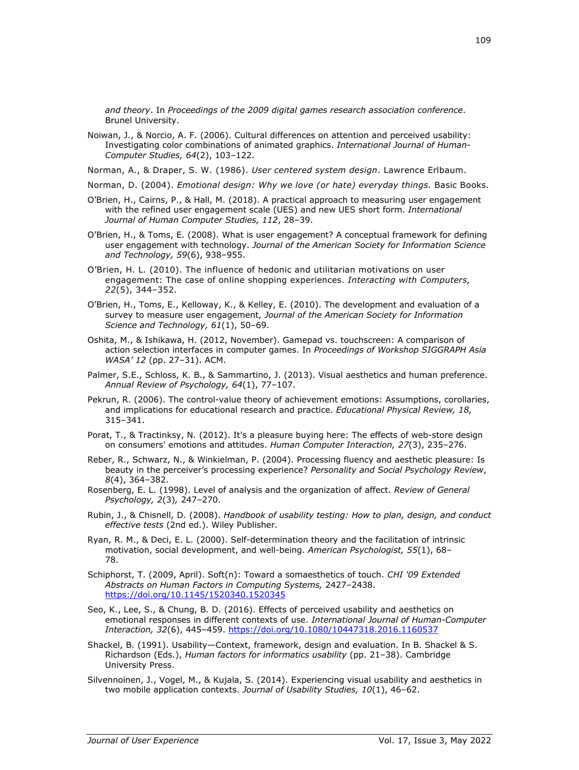*and theory*. In *Proceedings of the 2009 digital games research association conference*. Brunel University.

Noiwan, J., & Norcio, A. F. (2006). Cultural differences on attention and perceived usability: Investigating color combinations of animated graphics. *International Journal of Human-Computer Studies, 64*(2), 103–122.

Norman, A., & Draper, S. W. (1986). *User centered system design*. Lawrence Erlbaum.

- Norman, D. (2004). *Emotional design: Why we love (or hate) everyday things*. Basic Books.
- O'Brien, H., Cairns, P., & Hall, M. (2018). A practical approach to measuring user engagement with the refined user engagement scale (UES) and new UES short form. *International Journal of Human Computer Studies, 112*, 28–39.
- O'Brien, H., & Toms, E. (2008). What is user engagement? A conceptual framework for defining user engagement with technology. *Journal of the American Society for Information Science and Technology, 59*(6), 938–955.
- O'Brien, H. L. (2010). The influence of hedonic and utilitarian motivations on user engagement: The case of online shopping experiences. *Interacting with Computers, 22*(5), 344–352.
- O'Brien, H., Toms, E., Kelloway, K., & Kelley, E. (2010). The development and evaluation of a survey to measure user engagement, *Journal of the American Society for Information Science and Technology, 61*(1), 50–69.
- Oshita, M., & Ishikawa, H. (2012, November). Gamepad vs. touchscreen: A comparison of action selection interfaces in computer games. In *Proceedings of Workshop SIGGRAPH Asia WASA' 12* (pp. 27–31). ACM.
- Palmer, S.E., Schloss, K. B., & Sammartino, J. (2013). Visual aesthetics and human preference. *Annual Review of Psychology, 64*(1), 77–107.
- Pekrun, R. (2006). The control-value theory of achievement emotions: Assumptions, corollaries, and implications for educational research and practice. *Educational Physical Review, 18,* 315–341.
- Porat, T., & Tractinksy, N. (2012). It's a pleasure buying here: The effects of web-store design on consumers' emotions and attitudes. *Human Computer Interaction, 27*(3), 235–276.
- Reber, R., Schwarz, N., & Winkielman, P. (2004). Processing fluency and aesthetic pleasure: Is beauty in the perceiver's processing experience? *Personality and Social Psychology Review*, *8*(4), 364–382.
- Rosenberg, E. L. (1998). Level of analysis and the organization of affect. *Review of General Psychology, 2*(3)*,* 247–270.
- Rubin, J., & Chisnell, D. (2008). *Handbook of usability testing: How to plan, design, and conduct effective tests* (2nd ed.). Wiley Publisher.
- Ryan, R. M., & Deci, E. L. (2000). Self-determination theory and the facilitation of intrinsic motivation, social development, and well-being. *American Psychologist, 55*(1), 68– 78.
- Schiphorst, T. (2009, April). Soft(n): Toward a somaesthetics of touch. *CHI '09 Extended Abstracts on Human Factors in Computing Systems,* 2427–2438. <https://doi.org/10.1145/1520340.1520345>
- Seo, K., Lee, S., & Chung, B. D. (2016). Effects of perceived usability and aesthetics on emotional responses in different contexts of use. *International Journal of Human-Computer Interaction, 32*(6), 445–459.<https://doi.org/10.1080/10447318.2016.1160537>
- Shackel, B. (1991). Usability—Context, framework, design and evaluation. In B. Shackel & S. Richardson (Eds.), *Human factors for informatics usability* (pp. 21–38). Cambridge University Press.
- Silvennoinen, J., Vogel, M., & Kujala, S. (2014). Experiencing visual usability and aesthetics in two mobile application contexts. *Journal of Usability Studies, 10*(1), 46–62.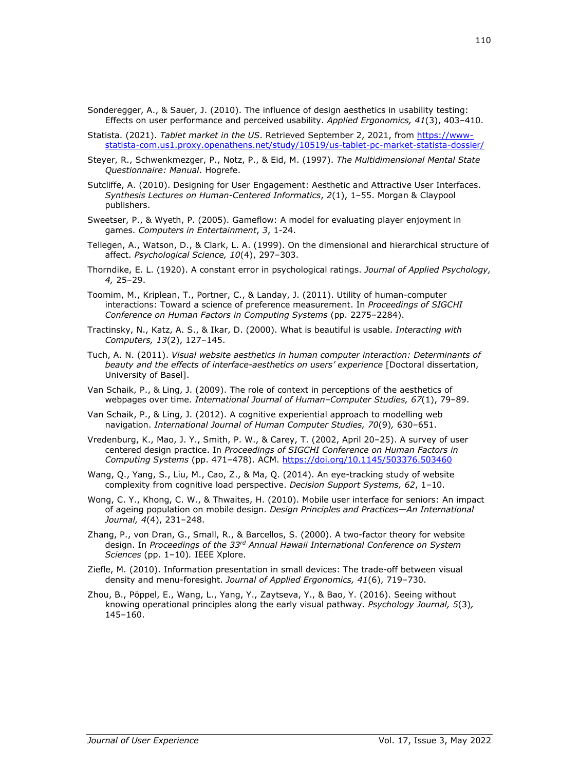- Sonderegger, A., & Sauer, J. (2010). The influence of design aesthetics in usability testing: Effects on user performance and perceived usability. *Applied Ergonomics, 41*(3), 403–410.
- Statista. (2021). *Tablet market in the US*. Retrieved September 2, 2021, from [https://www](https://www-statista-com.us1.proxy.openathens.net/study/10519/us-tablet-pc-market-statista-dossier/)[statista-com.us1.proxy.openathens.net/study/10519/us-tablet-pc-market-statista-dossier/](https://www-statista-com.us1.proxy.openathens.net/study/10519/us-tablet-pc-market-statista-dossier/)
- Steyer, R., Schwenkmezger, P., Notz, P., & Eid, M. (1997). *The Multidimensional Mental State Questionnaire: Manual*. Hogrefe.
- Sutcliffe, A. (2010). Designing for User Engagement: Aesthetic and Attractive User Interfaces. *Synthesis Lectures on Human-Centered Informatics*, *2*(1), 1–55. Morgan & Claypool publishers.
- Sweetser, P., & Wyeth, P. (2005). Gameflow: A model for evaluating player enjoyment in games. *Computers in Entertainment*, *3*, 1-24.
- Tellegen, A., Watson, D., & Clark, L. A. (1999). On the dimensional and hierarchical structure of affect. *Psychological Science, 10*(4), 297–303.
- Thorndike, E. L. (1920). A constant error in psychological ratings. *Journal of Applied Psychology, 4,* 25–29.
- Toomim, M., Kriplean, T., Portner, C., & Landay, J. (2011). Utility of human-computer interactions: Toward a science of preference measurement. In *Proceedings of SIGCHI Conference on Human Factors in Computing Systems* (pp. 2275–2284).
- Tractinsky, N., Katz, A. S., & Ikar, D. (2000). What is beautiful is usable. *Interacting with Computers, 13*(2), 127–145.
- Tuch, A. N. (2011). *Visual website aesthetics in human computer interaction: Determinants of*  beauty and the effects of interface-aesthetics on users' experience [Doctoral dissertation, University of Basel].
- Van Schaik, P., & Ling, J. (2009). The role of context in perceptions of the aesthetics of webpages over time. *International Journal of Human–Computer Studies, 67*(1), 79–89.
- Van Schaik, P., & Ling, J. (2012). A cognitive experiential approach to modelling web navigation. *International Journal of Human Computer Studies, 70*(9)*,* 630–651.
- Vredenburg, K., Mao, J. Y., Smith, P. W., & Carey, T. (2002, April 20–25). A survey of user centered design practice. In *Proceedings of SIGCHI Conference on Human Factors in Computing Systems* (pp. 471–478). ACM. <https://doi.org/10.1145/503376.503460>
- Wang, Q., Yang, S., Liu, M., Cao, Z., & Ma, Q. (2014). An eye-tracking study of website complexity from cognitive load perspective. *Decision Support Systems, 62*, 1–10.
- Wong, C. Y., Khong, C. W., & Thwaites, H. (2010). Mobile user interface for seniors: An impact of ageing population on mobile design. *Design Principles and Practices—An International Journal, 4*(4), 231–248.
- Zhang, P., von Dran, G., Small, R., & Barcellos, S. (2000). A two-factor theory for website design. In *Proceedings of the 33rd Annual Hawaii International Conference on System Sciences* (pp. 1–10)*.* IEEE Xplore.
- Ziefle, M. (2010). Information presentation in small devices: The trade-off between visual density and menu-foresight. *Journal of Applied Ergonomics, 41*(6), 719–730.
- Zhou, B., Pöppel, E., Wang, L., Yang, Y., Zaytseva, Y., & Bao, Y. (2016). Seeing without knowing operational principles along the early visual pathway. *Psychology Journal, 5*(3)*,* 145–160.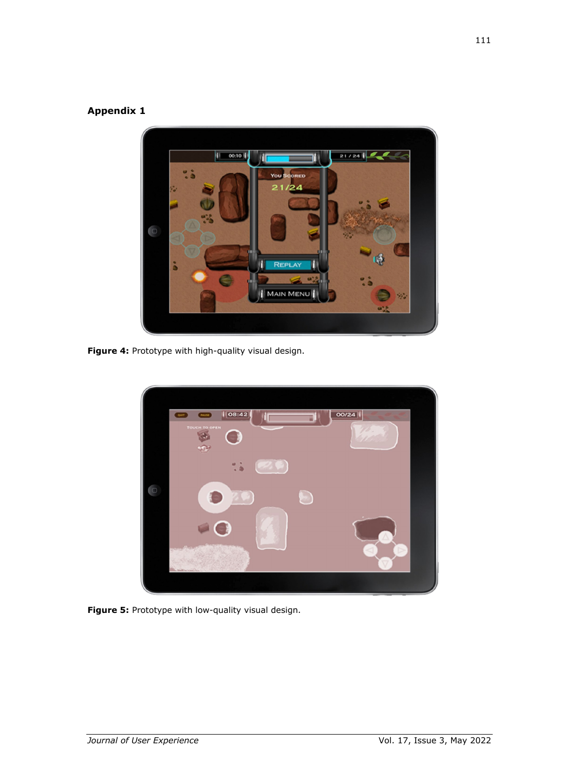# **Appendix 1**



**Figure 4:** Prototype with high-quality visual design.



**Figure 5:** Prototype with low-quality visual design.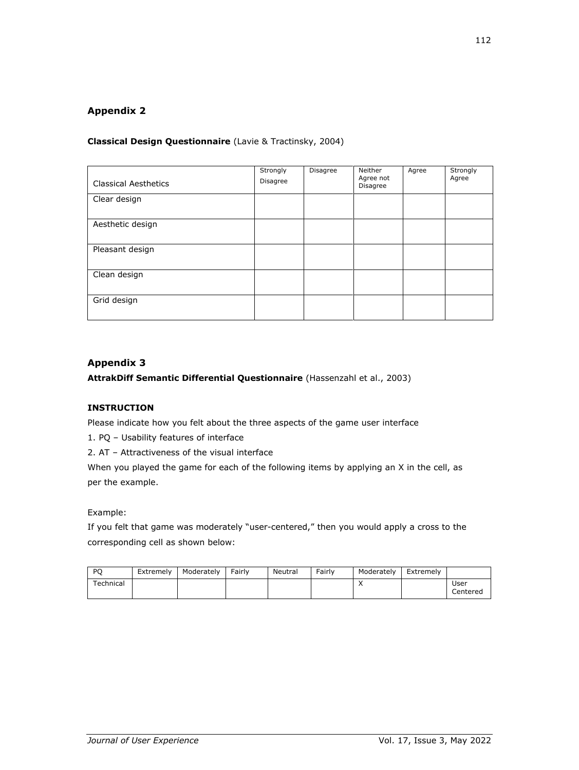# **Appendix 2**

# **Classical Design Questionnaire** (Lavie & Tractinsky, 2004)

| <b>Classical Aesthetics</b> | Strongly<br>Disagree | Disagree | Neither<br>Agree not<br>Disagree | Agree | Strongly<br>Agree |
|-----------------------------|----------------------|----------|----------------------------------|-------|-------------------|
| Clear design                |                      |          |                                  |       |                   |
| Aesthetic design            |                      |          |                                  |       |                   |
| Pleasant design             |                      |          |                                  |       |                   |
| Clean design                |                      |          |                                  |       |                   |
| Grid design                 |                      |          |                                  |       |                   |

# **Appendix 3**

# **AttrakDiff Semantic Differential Questionnaire** (Hassenzahl et al., 2003)

# **INSTRUCTION**

Please indicate how you felt about the three aspects of the game user interface

1. PQ – Usability features of interface

2. AT – Attractiveness of the visual interface

When you played the game for each of the following items by applying an X in the cell, as per the example.

Example:

If you felt that game was moderately "user-centered," then you would apply a cross to the corresponding cell as shown below:

| P <sub>O</sub> | Extremely | Moderately | Fairly | Neutral | Fairly | Moderately | Extremelv |                  |
|----------------|-----------|------------|--------|---------|--------|------------|-----------|------------------|
| Technical      |           |            |        |         |        | $\sqrt{ }$ |           | User<br>Centered |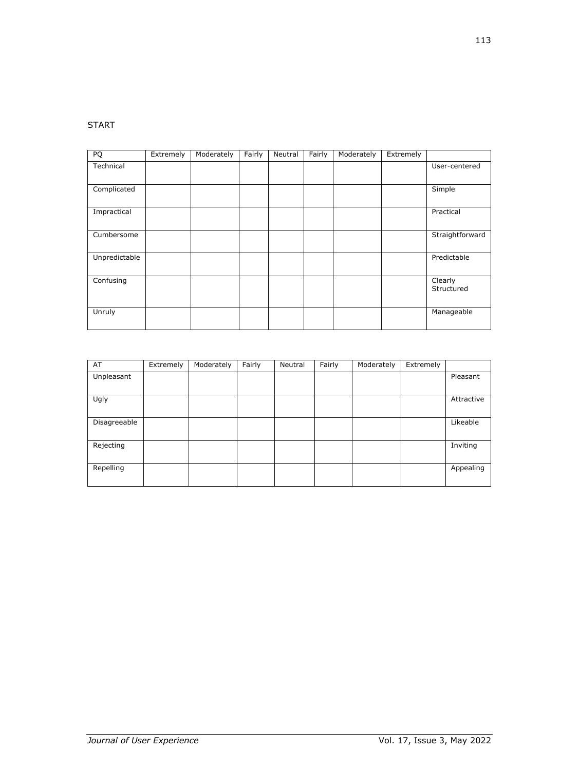# START

| PQ            | Extremely | Moderately | Fairly | Neutral | Fairly | Moderately | Extremely |                       |
|---------------|-----------|------------|--------|---------|--------|------------|-----------|-----------------------|
| Technical     |           |            |        |         |        |            |           | User-centered         |
|               |           |            |        |         |        |            |           |                       |
| Complicated   |           |            |        |         |        |            |           | Simple                |
| Impractical   |           |            |        |         |        |            |           | Practical             |
| Cumbersome    |           |            |        |         |        |            |           | Straightforward       |
| Unpredictable |           |            |        |         |        |            |           | Predictable           |
| Confusing     |           |            |        |         |        |            |           | Clearly<br>Structured |
| Unruly        |           |            |        |         |        |            |           | Manageable            |

| AT           | Extremely | Moderately | Fairly | Neutral | Fairly | Moderately | Extremely |            |
|--------------|-----------|------------|--------|---------|--------|------------|-----------|------------|
| Unpleasant   |           |            |        |         |        |            |           | Pleasant   |
|              |           |            |        |         |        |            |           |            |
| Ugly         |           |            |        |         |        |            |           | Attractive |
|              |           |            |        |         |        |            |           |            |
| Disagreeable |           |            |        |         |        |            |           | Likeable   |
|              |           |            |        |         |        |            |           |            |
| Rejecting    |           |            |        |         |        |            |           | Inviting   |
|              |           |            |        |         |        |            |           |            |
| Repelling    |           |            |        |         |        |            |           | Appealing  |
|              |           |            |        |         |        |            |           |            |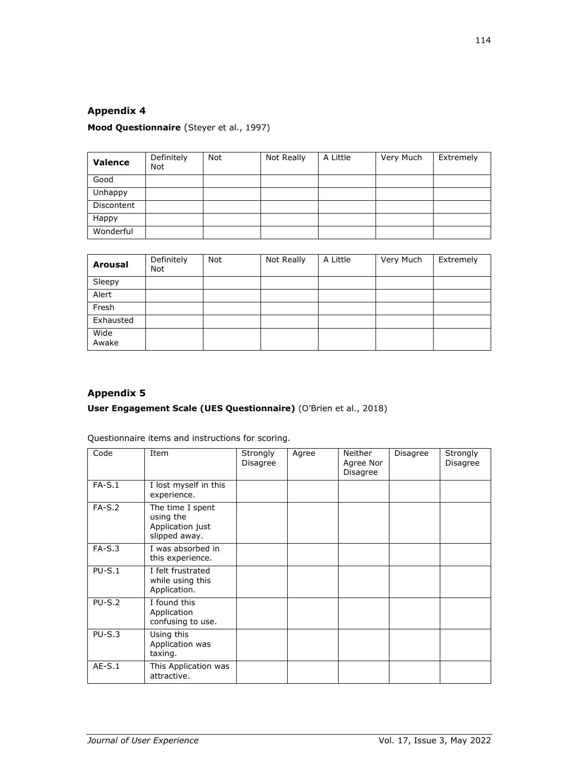# **Appendix 4**

# **Mood Questionnaire** (Steyer et al., 1997)

| Valence    | Definitely<br><b>Not</b> | <b>Not</b> | Not Really | A Little | Very Much | Extremely |
|------------|--------------------------|------------|------------|----------|-----------|-----------|
| Good       |                          |            |            |          |           |           |
| Unhappy    |                          |            |            |          |           |           |
| Discontent |                          |            |            |          |           |           |
| Happy      |                          |            |            |          |           |           |
| Wonderful  |                          |            |            |          |           |           |

| <b>Arousal</b> | Definitely<br><b>Not</b> | Not. | Not Really | A Little | Very Much | Extremely |
|----------------|--------------------------|------|------------|----------|-----------|-----------|
| Sleepy         |                          |      |            |          |           |           |
| Alert          |                          |      |            |          |           |           |
| Fresh          |                          |      |            |          |           |           |
| Exhausted      |                          |      |            |          |           |           |
| Wide<br>Awake  |                          |      |            |          |           |           |

# **Appendix 5**

# **User Engagement Scale (UES Questionnaire)** (O'Brien et al., 2018)

Questionnaire items and instructions for scoring.

| Code     | Item                                                               | Strongly<br>Disagree | Agree | Neither<br>Agree Nor<br>Disagree | Disagree | Strongly<br>Disagree |
|----------|--------------------------------------------------------------------|----------------------|-------|----------------------------------|----------|----------------------|
| $FA-S.1$ | I lost myself in this<br>experience.                               |                      |       |                                  |          |                      |
| $FA-S.2$ | The time I spent<br>using the<br>Application just<br>slipped away. |                      |       |                                  |          |                      |
| $FA-S.3$ | I was absorbed in<br>this experience.                              |                      |       |                                  |          |                      |
| $PU-S.1$ | I felt frustrated<br>while using this<br>Application.              |                      |       |                                  |          |                      |
| $PU-S.2$ | I found this<br>Application<br>confusing to use.                   |                      |       |                                  |          |                      |
| $PU-S.3$ | Using this<br>Application was<br>taxing.                           |                      |       |                                  |          |                      |
| $AE-S.1$ | This Application was<br>attractive.                                |                      |       |                                  |          |                      |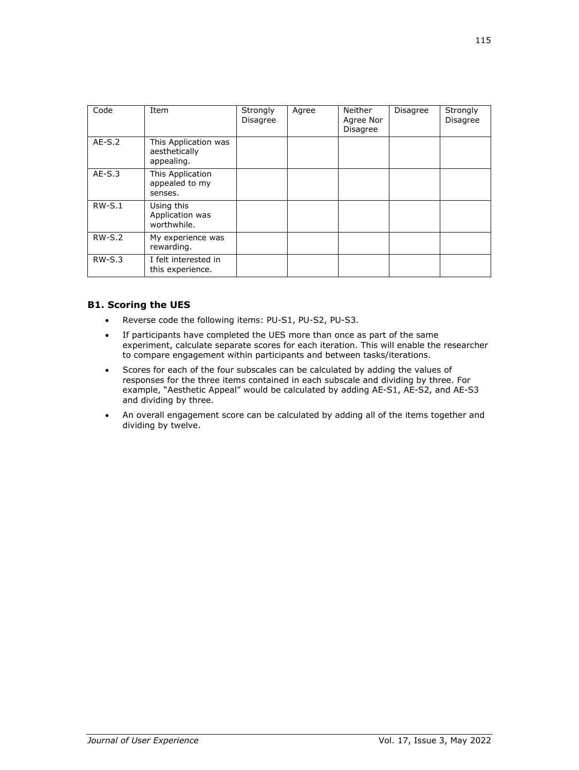| Code     | Item                                                | Strongly        | Agree | Neither                      | <b>Disagree</b> | Strongly |
|----------|-----------------------------------------------------|-----------------|-------|------------------------------|-----------------|----------|
|          |                                                     | <b>Disagree</b> |       | Agree Nor<br><b>Disagree</b> |                 | Disagree |
| $AE-S.2$ | This Application was<br>aesthetically<br>appealing. |                 |       |                              |                 |          |
| $AE-S.3$ | This Application<br>appealed to my<br>senses.       |                 |       |                              |                 |          |
| $RW-S.1$ | Using this<br>Application was<br>worthwhile.        |                 |       |                              |                 |          |
| $RW-S.2$ | My experience was<br>rewarding.                     |                 |       |                              |                 |          |
| $RW-S.3$ | I felt interested in<br>this experience.            |                 |       |                              |                 |          |

# **B1. Scoring the UES**

- Reverse code the following items: PU-S1, PU-S2, PU-S3.
- If participants have completed the UES more than once as part of the same experiment, calculate separate scores for each iteration. This will enable the researcher to compare engagement within participants and between tasks/iterations.
- Scores for each of the four subscales can be calculated by adding the values of responses for the three items contained in each subscale and dividing by three. For example, "Aesthetic Appeal" would be calculated by adding AE-S1, AE-S2, and AE-S3 and dividing by three.
- An overall engagement score can be calculated by adding all of the items together and dividing by twelve.